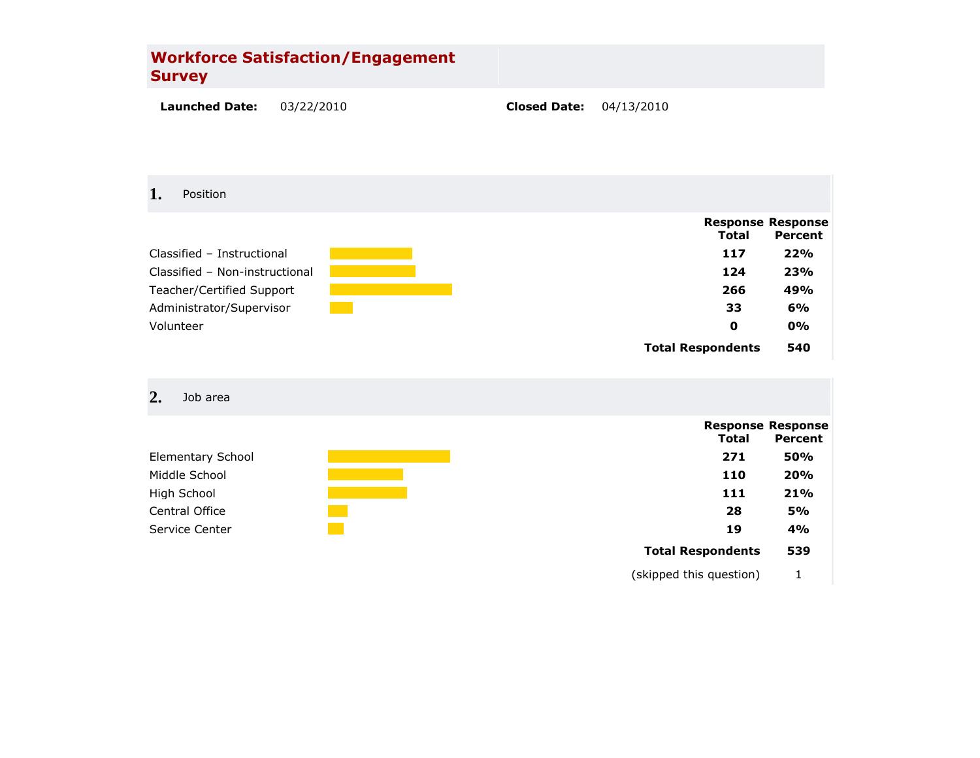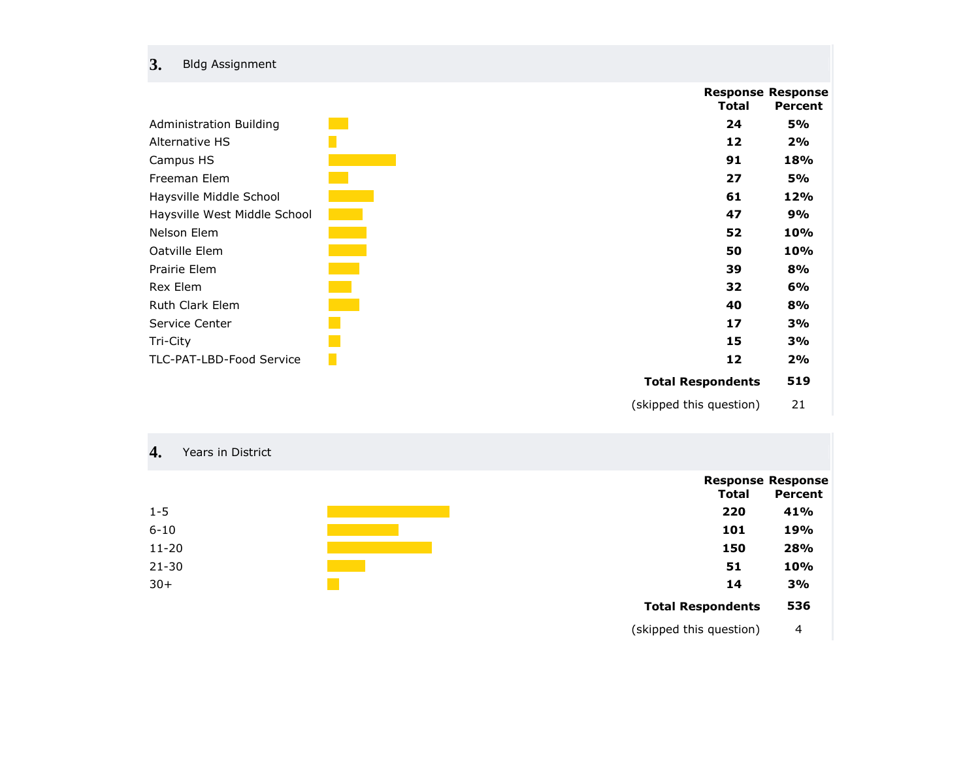# **3.** Bldg Assignment

|                                | Total                    | <b>Response Response</b><br><b>Percent</b> |
|--------------------------------|--------------------------|--------------------------------------------|
| <b>Administration Building</b> | 24                       | <b>5%</b>                                  |
| Alternative HS                 | 12                       | 2%                                         |
| Campus HS                      | 91                       | 18%                                        |
| Freeman Elem                   | 27                       | <b>5%</b>                                  |
| Haysville Middle School        | 61                       | 12%                                        |
| Haysville West Middle School   | 47                       | 9%                                         |
| Nelson Elem                    | 52                       | 10%                                        |
| Oatville Elem                  | 50                       | <b>10%</b>                                 |
| Prairie Elem                   | 39                       | 8%                                         |
| Rex Elem                       | 32                       | 6%                                         |
| <b>Ruth Clark Elem</b>         | 40                       | 8%                                         |
| Service Center                 | 17                       | 3%                                         |
| Tri-City                       | 15                       | 3%                                         |
| TLC-PAT-LBD-Food Service       | 12                       | 2%                                         |
|                                | <b>Total Respondents</b> | 519                                        |
|                                | (skipped this question)  | 21                                         |

# **4.** Years in District

|           | .   | .   |
|-----------|-----|-----|
| $1 - 5$   | 220 | 41% |
| $6 - 10$  | 101 | 19% |
| $11 - 20$ | 150 | 28% |
| $21 - 30$ | 51  | 10% |
| $30+$     | 14  | 3%  |
|           |     |     |

|       | <b>Response Response</b> |
|-------|--------------------------|
| Total | Percent                  |
| 220   | 41%                      |
| 101   | 19%                      |

| --  | --      |  |
|-----|---------|--|
| . . | 4 A A I |  |

### **Total Respondents 536**

(skipped this question) 4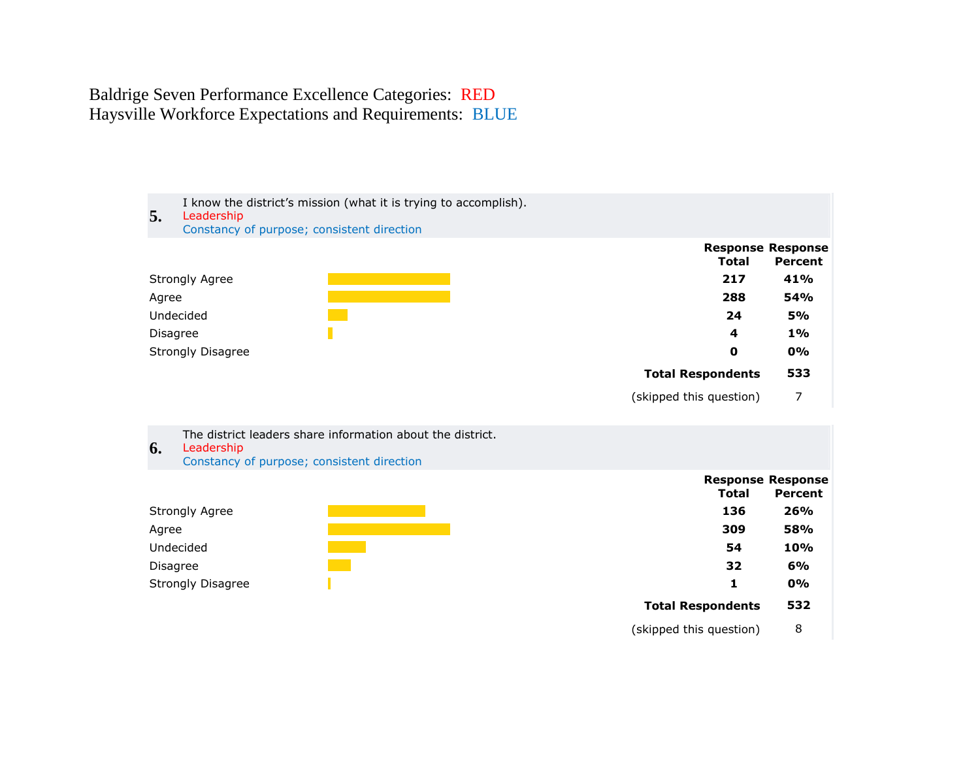Baldrige Seven Performance Excellence Categories: RED Haysville Workforce Expectations and Requirements: BLUE



The district leaders share information about the district.

# **6.** Leadership

Constancy of purpose; consistent direction



| Total                    | <b>Response Response</b><br>Percent |
|--------------------------|-------------------------------------|
| 136                      | 26%                                 |
| 309                      | 58%                                 |
| 54                       | 10%                                 |
| 32                       | 6%                                  |
| 1                        | 0%                                  |
| <b>Total Respondents</b> | 532                                 |
| (skipped this question)  | 8                                   |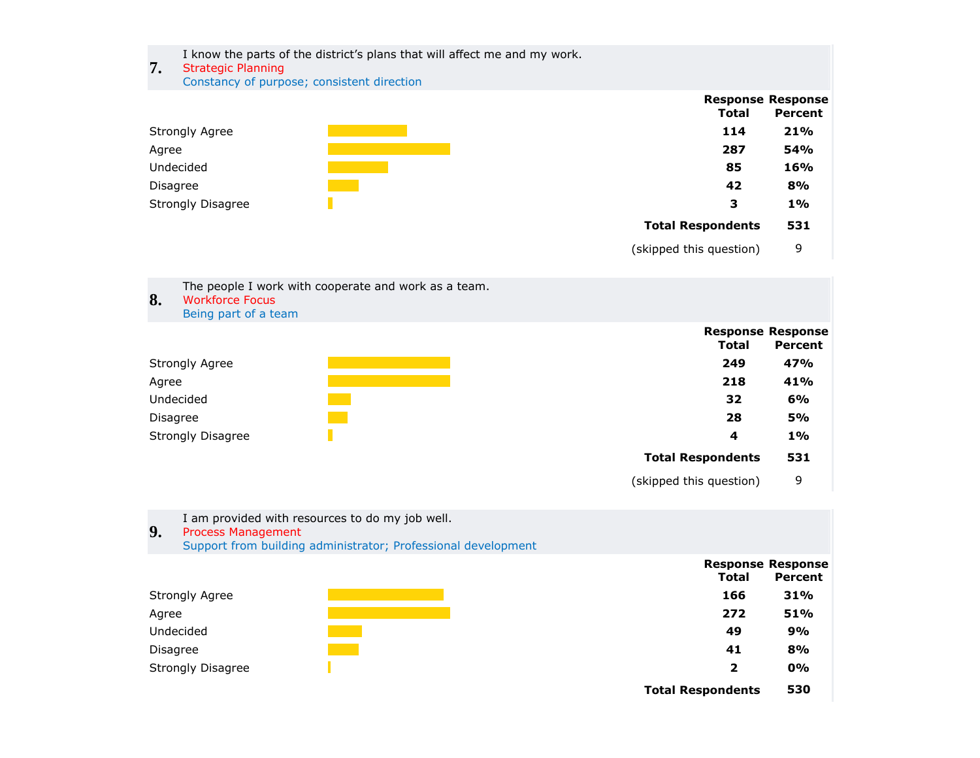I know the parts of the district's plans that will affect me and my work.

# **7.** Strategic Planning

Constancy of purpose; consistent direction



(skipped this question) 9

| 8.       | <b>Workforce Focus</b><br>Being part of a team | The people I work with cooperate and work as a team. |                                   |           |
|----------|------------------------------------------------|------------------------------------------------------|-----------------------------------|-----------|
|          |                                                |                                                      | <b>Response Response</b><br>Total | Percent   |
|          | <b>Strongly Agree</b>                          |                                                      | 249                               | 47%       |
| Agree    |                                                |                                                      | 218                               | 41%       |
|          | Undecided                                      |                                                      | 32                                | 6%        |
| Disagree |                                                |                                                      | 28                                | <b>5%</b> |
|          | <b>Strongly Disagree</b>                       |                                                      | 4                                 | $1\%$     |
|          |                                                |                                                      | <b>Total Respondents</b>          | 531       |
|          |                                                |                                                      | (skipped this question)           | 9         |

| 9.    | <b>Process Management</b> | I am provided with resources to do my job well.<br>Support from building administrator; Professional development |                                   |                |
|-------|---------------------------|------------------------------------------------------------------------------------------------------------------|-----------------------------------|----------------|
|       |                           |                                                                                                                  | <b>Response Response</b><br>Total | <b>Percent</b> |
|       | <b>Strongly Agree</b>     |                                                                                                                  | 166                               | 31%            |
| Agree |                           |                                                                                                                  | 272                               | 51%            |
|       | Undecided                 |                                                                                                                  | 49                                | 9%             |
|       | Disagree                  |                                                                                                                  | 41                                | 8%             |
|       | Strongly Disagree         |                                                                                                                  | $\overline{2}$                    | 0%             |
|       |                           |                                                                                                                  | <b>Total Respondents</b>          | 530            |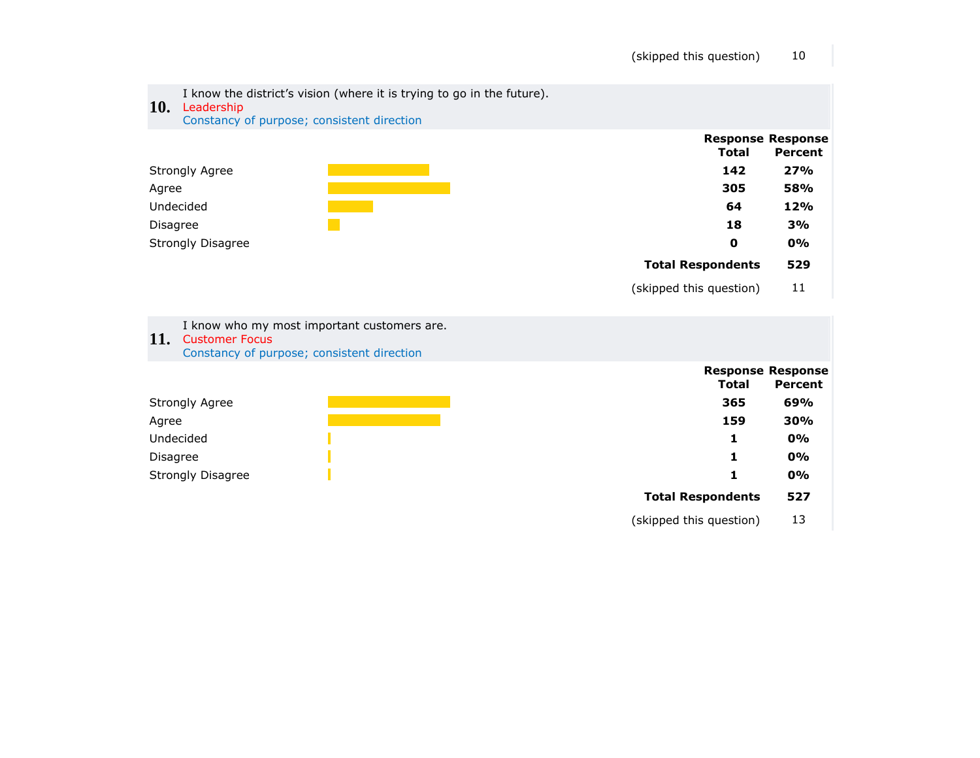| <b>10.</b>      | I know the district's vision (where it is trying to go in the future).<br>Leadership<br>Constancy of purpose; consistent direction |                          |                                            |
|-----------------|------------------------------------------------------------------------------------------------------------------------------------|--------------------------|--------------------------------------------|
|                 |                                                                                                                                    | <b>Total</b>             | <b>Response Response</b><br><b>Percent</b> |
|                 | <b>Strongly Agree</b>                                                                                                              | 142                      | 27%                                        |
| Agree           |                                                                                                                                    | 305                      | 58%                                        |
|                 | Undecided                                                                                                                          | 64                       | 12%                                        |
| <b>Disagree</b> |                                                                                                                                    | 18                       | 3%                                         |
|                 | <b>Strongly Disagree</b>                                                                                                           | $\mathbf 0$              | 0%                                         |
|                 |                                                                                                                                    | <b>Total Respondents</b> | 529                                        |
|                 |                                                                                                                                    | (skipped this question)  | 11                                         |
| <b>11.</b>      | I know who my most important customers are.<br><b>Customer Focus</b><br>Constancy of purpose; consistent direction                 |                          |                                            |
|                 |                                                                                                                                    | <b>Total</b>             | <b>Response Response</b><br><b>Percent</b> |
|                 | <b>Strongly Agree</b>                                                                                                              | 365                      | 69%                                        |
| Agree           |                                                                                                                                    | 159                      | 30%                                        |
|                 | Undecided                                                                                                                          | 1                        | 0%                                         |
| <b>Disagree</b> |                                                                                                                                    | 1                        | 0%                                         |
|                 | <b>Strongly Disagree</b>                                                                                                           | 1                        | 0%                                         |
|                 |                                                                                                                                    | <b>Total Respondents</b> | 527                                        |
|                 |                                                                                                                                    | (skipped this question)  | 13                                         |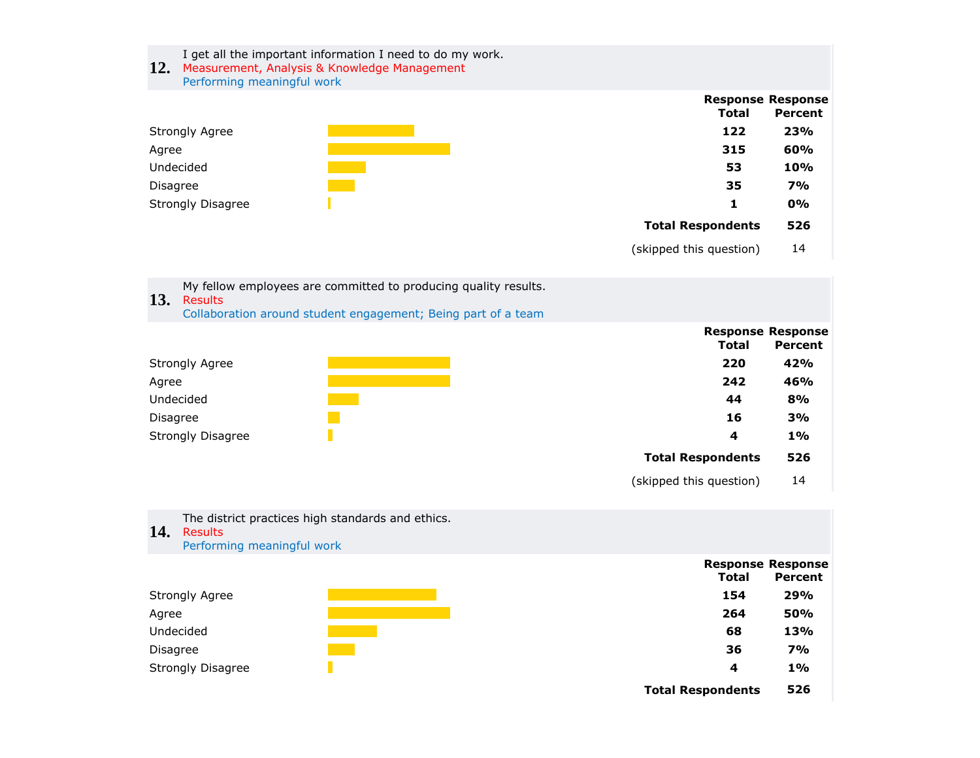I get all the important information I need to do my work.

### **12.** Measurement, Analysis & Knowledge Management Performing meaningful work



(skipped this question) 14

| My fellow employees are committed to producing quality results. |
|-----------------------------------------------------------------|
| 13. Results                                                     |
| Collaboration around student engagement; Being part of a team   |



(skipped this question) 14

| 14.      | The district practices high standards and ethics.<br><b>Results</b><br>Performing meaningful work |  |              |                          |
|----------|---------------------------------------------------------------------------------------------------|--|--------------|--------------------------|
|          |                                                                                                   |  |              | <b>Response Response</b> |
|          |                                                                                                   |  | <b>Total</b> | Percent                  |
|          | Strongly Agree                                                                                    |  | 154          | 29%                      |
| Agree    |                                                                                                   |  | 264          | 50%                      |
|          | Undecided                                                                                         |  | 68           | 13%                      |
| Disagree |                                                                                                   |  | 36           | <b>7%</b>                |
|          | <b>Strongly Disagree</b>                                                                          |  | 4            | $1\%$                    |

**Total Respondents 526**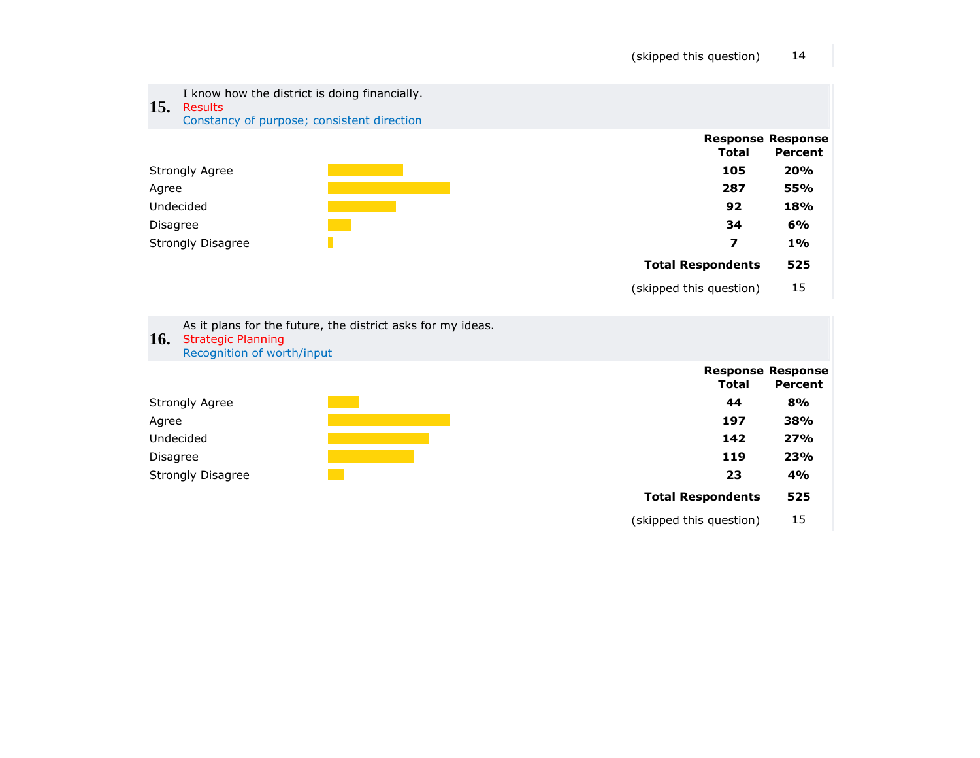

|                          | .   | .   |
|--------------------------|-----|-----|
| <b>Strongly Agree</b>    | 44  | 8%  |
| Agree                    | 197 | 38% |
| Undecided                | 142 | 27% |
| Disagree                 | 119 | 23% |
| <b>Strongly Disagree</b> | 23  | 4%  |

|                          | Total | <b>Response Response</b><br>Percent |
|--------------------------|-------|-------------------------------------|
|                          | 44    | 8%                                  |
|                          | 197   | 38%                                 |
|                          | 142   | 27%                                 |
|                          | 119   | 23%                                 |
|                          | 23    | 4%                                  |
| <b>Total Respondents</b> |       | 525                                 |
| (skipped this question)  |       | 15                                  |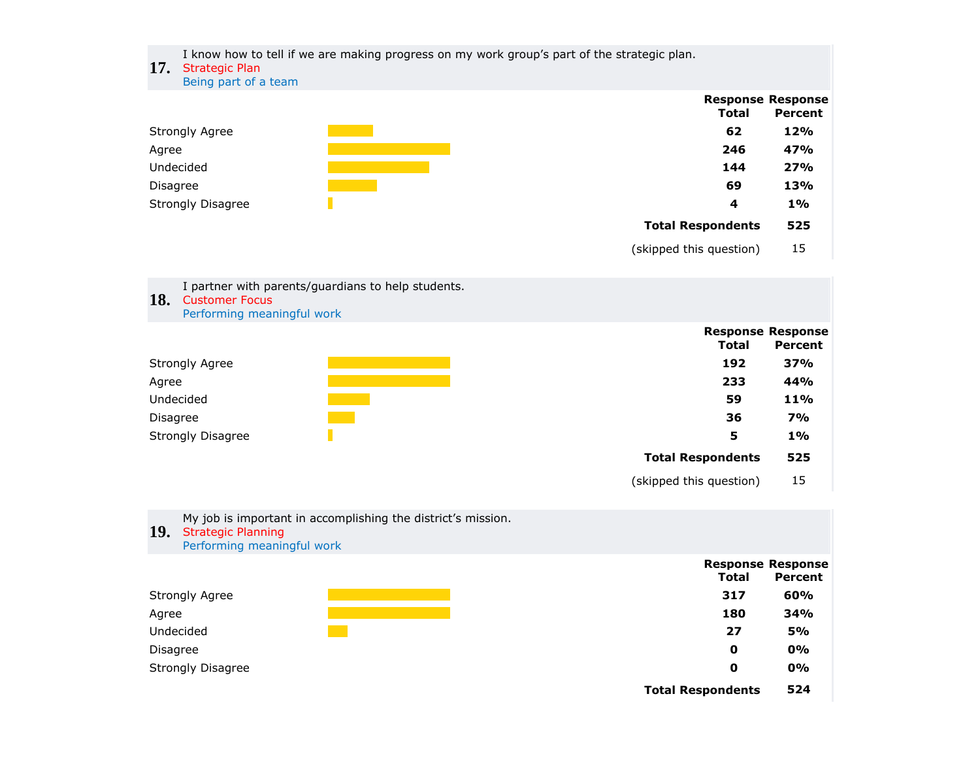I know how to tell if we are making progress on my work group's part of the strategic plan.

#### **17.** Strategic Plan

Being part of a team

|                          | <b>Response Response</b> |         |
|--------------------------|--------------------------|---------|
|                          | <b>Total</b>             | Percent |
| <b>Strongly Agree</b>    | 62                       | 12%     |
| Agree                    | 246                      | 47%     |
| Undecided                | 144                      | 27%     |
| Disagree                 | 69                       | 13%     |
| <b>Strongly Disagree</b> | 4                        | $1\%$   |
|                          | <b>Total Respondents</b> | 525     |

(skipped this question) 15

| 18.      | I partner with parents/guardians to help students.<br><b>Customer Focus</b><br>Performing meaningful work |                                          |                |
|----------|-----------------------------------------------------------------------------------------------------------|------------------------------------------|----------------|
|          |                                                                                                           | <b>Response Response</b><br><b>Total</b> | <b>Percent</b> |
|          | <b>Strongly Agree</b>                                                                                     | 192                                      | 37%            |
| Agree    |                                                                                                           | 233                                      | 44%            |
|          | Undecided                                                                                                 | 59                                       | 11%            |
| Disagree |                                                                                                           | 36                                       | 7%             |
|          | <b>Strongly Disagree</b>                                                                                  | 5                                        | $1\%$          |
|          |                                                                                                           | <b>Total Respondents</b>                 | 525            |

(skipped this question) 15

| 19.<br><b>Strategic Planning</b><br>Performing meaningful work | My job is important in accomplishing the district's mission. |                                          |           |
|----------------------------------------------------------------|--------------------------------------------------------------|------------------------------------------|-----------|
|                                                                |                                                              | <b>Response Response</b><br><b>Total</b> | Percent   |
| Strongly Agree                                                 |                                                              | 317                                      | 60%       |
| Agree                                                          |                                                              | 180                                      | 34%       |
| Undecided                                                      |                                                              | 27                                       | <b>5%</b> |
| Disagree                                                       |                                                              | 0                                        | 0%        |
| Strongly Disagree                                              |                                                              | 0                                        | 0%        |
|                                                                |                                                              | <b>Total Respondents</b>                 | 524       |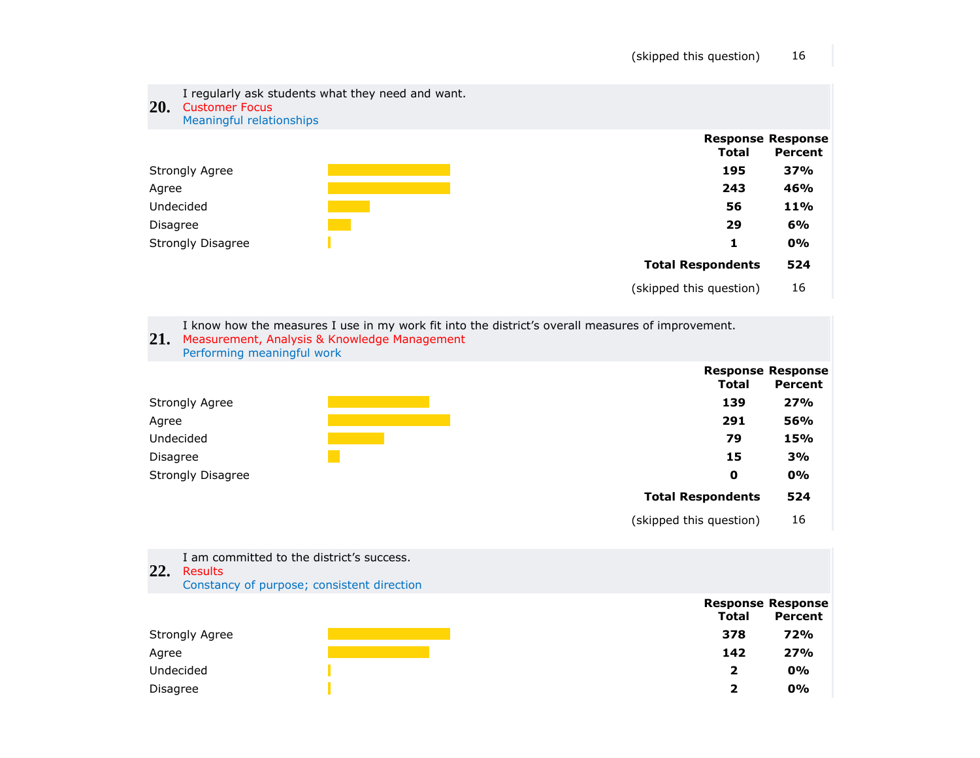

I know how the measures I use in my work fit into the district's overall measures of improvement.





- **22.** Results I am committed to the district's success.
	- Constancy of purpose; consistent direction

|                       |              | <b>Response Response</b> |  |
|-----------------------|--------------|--------------------------|--|
|                       | <b>Total</b> | <b>Percent</b>           |  |
| <b>Strongly Agree</b> | 378          | 72%                      |  |
| Agree                 | 142          | 27%                      |  |
| Undecided             | 2            | 0%                       |  |
| Disagree              | י            | 0%                       |  |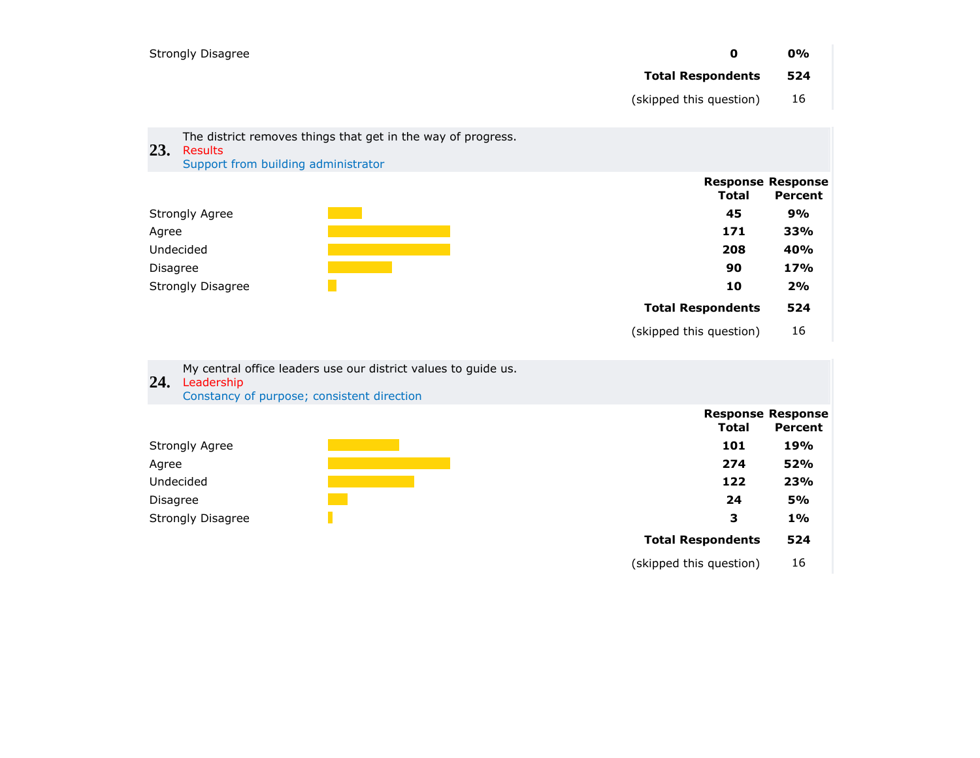|          | <b>Strongly Disagree</b>                                                                                                       | 0                        | 0%                                  |
|----------|--------------------------------------------------------------------------------------------------------------------------------|--------------------------|-------------------------------------|
|          |                                                                                                                                | <b>Total Respondents</b> | 524                                 |
|          |                                                                                                                                | (skipped this question)  | 16                                  |
|          | The district removes things that get in the way of progress.                                                                   |                          |                                     |
| 23.      | Results<br>Support from building administrator                                                                                 |                          |                                     |
|          |                                                                                                                                | <b>Total</b>             | <b>Response Response</b><br>Percent |
|          | <b>Strongly Agree</b>                                                                                                          | 45                       | 9%                                  |
| Agree    |                                                                                                                                | 171                      | 33%                                 |
|          | Undecided                                                                                                                      | 208<br>90                | 40%<br>17%                          |
| Disagree | <b>Strongly Disagree</b>                                                                                                       | 10                       | 2%                                  |
|          |                                                                                                                                | <b>Total Respondents</b> | 524                                 |
|          |                                                                                                                                | (skipped this question)  | 16                                  |
|          |                                                                                                                                |                          |                                     |
|          | My central office leaders use our district values to guide us.<br>24. Leadership<br>Constancy of purpose; consistent direction |                          |                                     |
|          |                                                                                                                                | <b>Total</b>             | <b>Response Response</b><br>Percent |
|          | Strongly Agree                                                                                                                 | 101                      | 19%                                 |
| Agree    |                                                                                                                                | 274                      | 52%                                 |

Undecided **122 23%**  Disagree **24 5%**  Strongly Disagree **3 1%** 

> **Total Respondents 524** (skipped this question) 16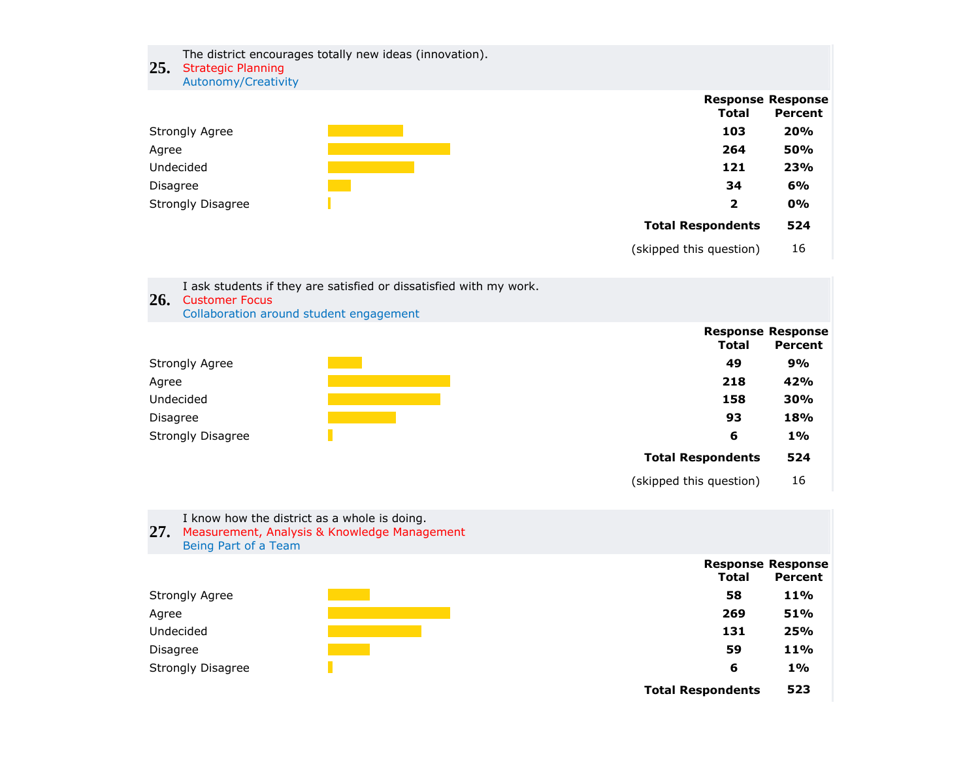The district encourages totally new ideas (innovation).

# **25.** Strategic Planning

Autonomy/Creativity

|                          |                          | <b>Response Response</b> |
|--------------------------|--------------------------|--------------------------|
|                          | <b>Total</b>             | Percent                  |
| <b>Strongly Agree</b>    | 103                      | 20%                      |
| Agree                    | 264                      | 50%                      |
| Undecided                | 121                      | 23%                      |
| <b>Disagree</b>          | 34                       | 6%                       |
| <b>Strongly Disagree</b> | 2                        | 0%                       |
|                          | <b>Total Respondents</b> | 524                      |

(skipped this question) 16

| 26.             | <b>Customer Focus</b>    | I ask students if they are satisfied or dissatisfied with my work.<br>Collaboration around student engagement |                          |                                     |
|-----------------|--------------------------|---------------------------------------------------------------------------------------------------------------|--------------------------|-------------------------------------|
|                 |                          |                                                                                                               | <b>Total</b>             | <b>Response Response</b><br>Percent |
|                 | <b>Strongly Agree</b>    |                                                                                                               | 49                       | 9%                                  |
| Agree           |                          |                                                                                                               | 218                      | 42%                                 |
|                 | Undecided                |                                                                                                               | 158                      | 30%                                 |
| <b>Disagree</b> |                          |                                                                                                               | 93                       | 18%                                 |
|                 | <b>Strongly Disagree</b> |                                                                                                               | 6                        | $1\%$                               |
|                 |                          |                                                                                                               | <b>Total Respondents</b> | 524                                 |
|                 |                          |                                                                                                               | (skipped this question)  | 16                                  |

# I know how the district as a whole is doing.

- **27.** Measurement, Analysis & Knowledge Management
	- Being Part of a Team



| Total                    | <b>Response Response</b><br>Percent |
|--------------------------|-------------------------------------|
| 58                       | 11%                                 |
| 269                      | 51%                                 |
| 131                      | 25%                                 |
| 59                       | <b>11%</b>                          |
| 6                        | $1\%$                               |
| <b>Total Respondents</b> | 523                                 |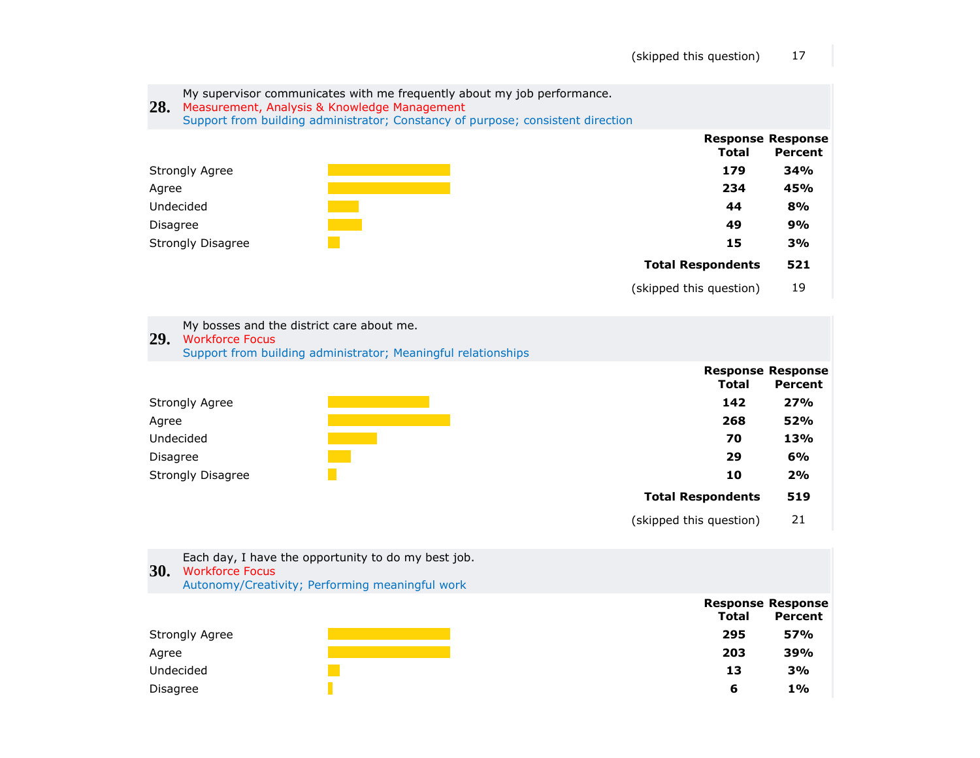| 28.      | My supervisor communicates with me frequently about my job performance.<br>Measurement, Analysis & Knowledge Management<br>Support from building administrator; Constancy of purpose; consistent direction |                          |                                            |
|----------|------------------------------------------------------------------------------------------------------------------------------------------------------------------------------------------------------------|--------------------------|--------------------------------------------|
|          |                                                                                                                                                                                                            | Total                    | <b>Response Response</b><br><b>Percent</b> |
|          | <b>Strongly Agree</b>                                                                                                                                                                                      | 179                      | 34%                                        |
| Agree    |                                                                                                                                                                                                            | 234                      | 45%                                        |
|          | Undecided                                                                                                                                                                                                  | 44                       | 8%                                         |
| Disagree |                                                                                                                                                                                                            | 49                       | 9%                                         |
|          | <b>Strongly Disagree</b>                                                                                                                                                                                   | 15                       | 3%                                         |
|          |                                                                                                                                                                                                            | <b>Total Respondents</b> | 521                                        |
|          |                                                                                                                                                                                                            | (skipped this question)  | 19                                         |
|          | My bosses and the district care about me.                                                                                                                                                                  |                          |                                            |

**29.** Workforce Focus

Support from building administrator; Meaningful relationships



**30.** Workforce Focus Each day, I have the opportunity to do my best job. Autonomy/Creativity; Performing meaningful work

|                | <b>Response Response</b> |            |
|----------------|--------------------------|------------|
|                | <b>Total</b>             | Percent    |
| Strongly Agree | 295                      | <b>57%</b> |
| Agree          | 203                      | 39%        |
| Undecided      | 13                       | 3%         |
| Disagree       | 6                        | $1\%$      |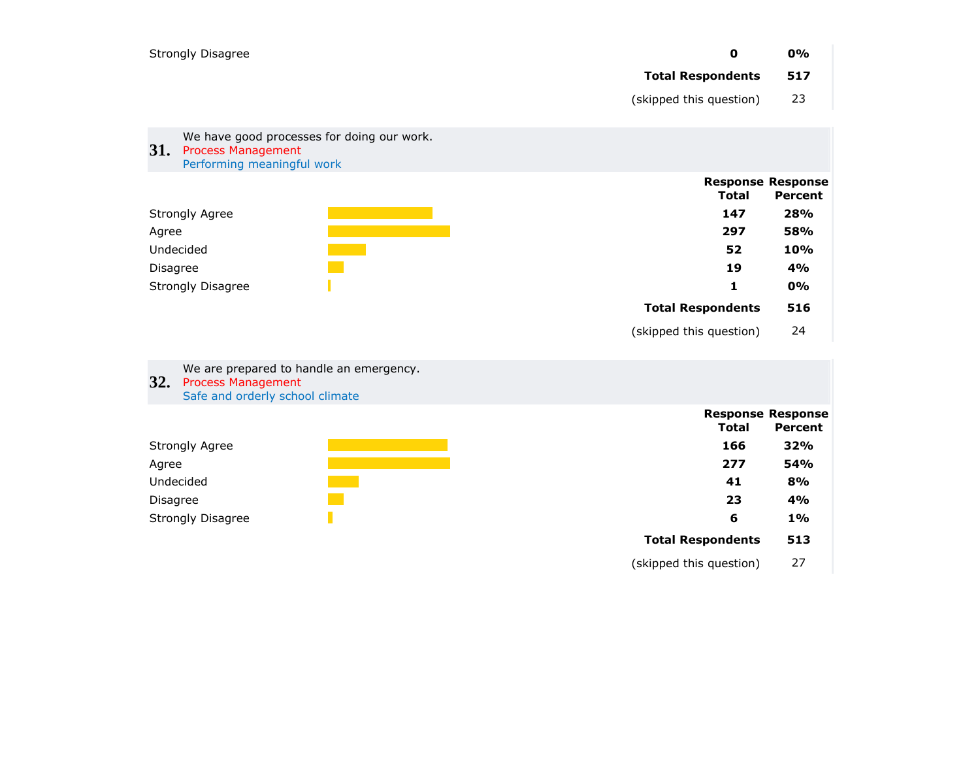| <b>Strongly Disagree</b>                                                                                            | $\mathbf 0$<br><b>Total Respondents</b><br>(skipped this question) | 0%<br>517<br>23                            |
|---------------------------------------------------------------------------------------------------------------------|--------------------------------------------------------------------|--------------------------------------------|
| We have good processes for doing our work.<br><b>31.</b><br><b>Process Management</b><br>Performing meaningful work |                                                                    |                                            |
|                                                                                                                     | <b>Total</b>                                                       | <b>Response Response</b><br><b>Percent</b> |
| <b>Strongly Agree</b>                                                                                               | 147                                                                | 28%                                        |
| Agree                                                                                                               | 297                                                                | <b>58%</b>                                 |
| Undecided                                                                                                           | 52                                                                 | 10%                                        |
| <b>Disagree</b>                                                                                                     | 19                                                                 | 4%                                         |
| <b>Strongly Disagree</b>                                                                                            | 1                                                                  | 0%                                         |
|                                                                                                                     | <b>Total Respondents</b>                                           | 516                                        |
|                                                                                                                     | (skipped this question)                                            | 24                                         |

We are prepared to handle an emergency.

- **32.** Process Management
	- Safe and orderly school climate



(skipped this question) 27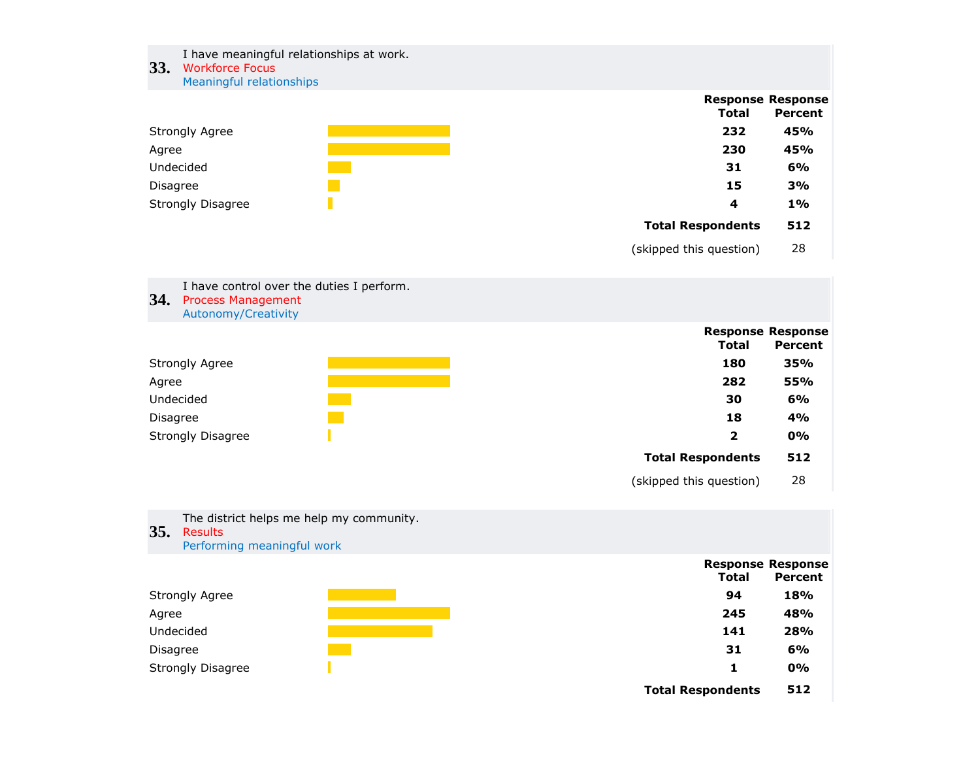#### **33.** Workforce Focus I have meaningful relationships at work. Meaningful relationships



(skipped this question) 28

**Total Respondents 512**

(skipped this question) 28



**35.** Results The district helps me help my community. Performing meaningful work

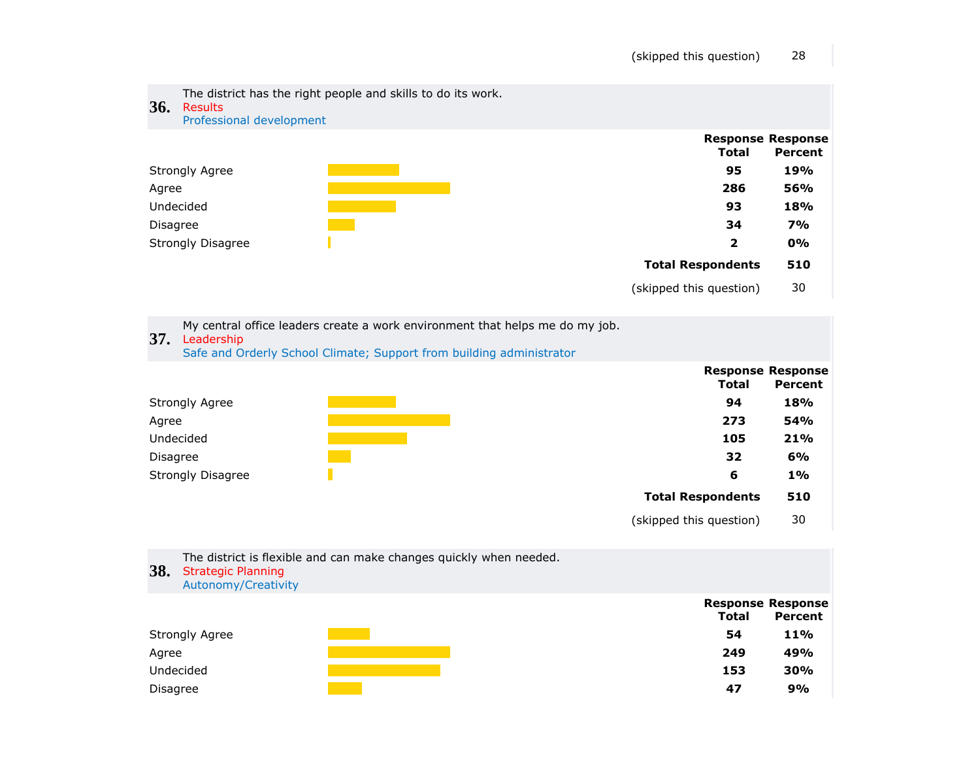

My central office leaders create a work environment that helps me do my job.

# **37.** Leadership

Safe and Orderly School Climate; Support from building administrator



| 38.             | The district is flexible and can make changes quickly when needed.<br><b>Strategic Planning</b><br>Autonomy/Creativity |              |                                            |
|-----------------|------------------------------------------------------------------------------------------------------------------------|--------------|--------------------------------------------|
|                 |                                                                                                                        | <b>Total</b> | <b>Response Response</b><br><b>Percent</b> |
|                 | Strongly Agree                                                                                                         | 54           | <b>11%</b>                                 |
| Agree           |                                                                                                                        | 249          | 49%                                        |
|                 | Undecided                                                                                                              | 153          | 30%                                        |
| <b>Disagree</b> |                                                                                                                        | 47           | 9%                                         |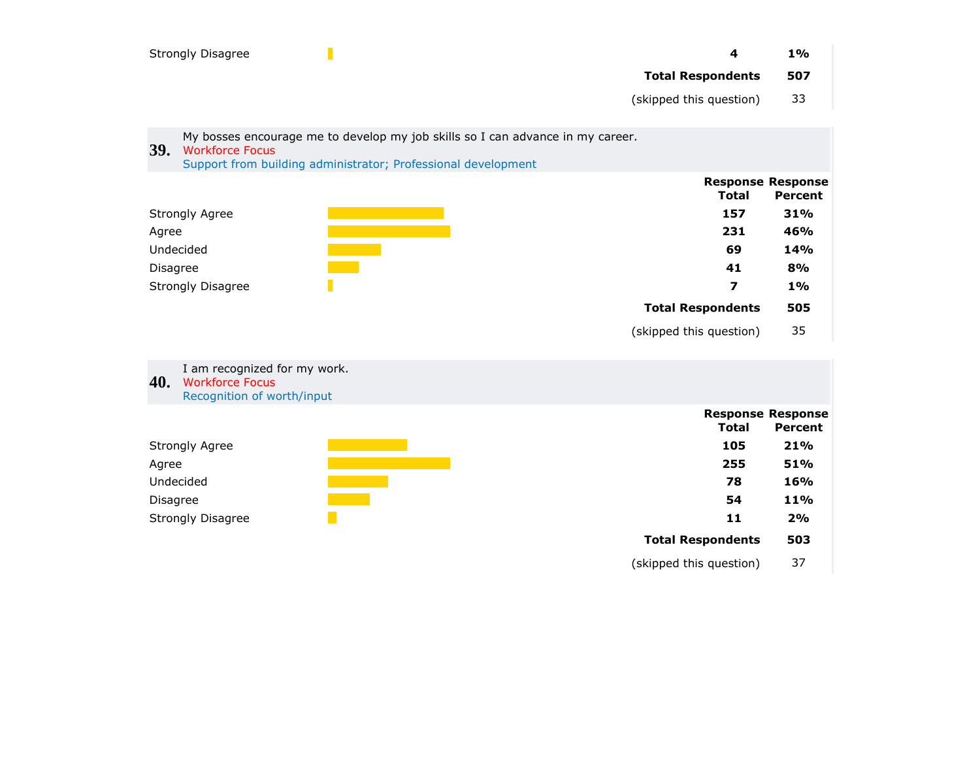|                 | <b>Strongly Disagree</b>                                                                                                                                                  | 4                        | 1%                                         |
|-----------------|---------------------------------------------------------------------------------------------------------------------------------------------------------------------------|--------------------------|--------------------------------------------|
|                 |                                                                                                                                                                           | <b>Total Respondents</b> | 507                                        |
|                 |                                                                                                                                                                           | (skipped this question)  | 33                                         |
|                 |                                                                                                                                                                           |                          |                                            |
| <b>39.</b>      | My bosses encourage me to develop my job skills so I can advance in my career.<br><b>Workforce Focus</b><br>Support from building administrator; Professional development |                          |                                            |
|                 |                                                                                                                                                                           | <b>Total</b>             | <b>Response Response</b><br><b>Percent</b> |
|                 | <b>Strongly Agree</b>                                                                                                                                                     | 157                      | 31%                                        |
| Agree           |                                                                                                                                                                           | 231                      | 46%                                        |
|                 | Undecided                                                                                                                                                                 | 69                       | 14%                                        |
| Disagree        |                                                                                                                                                                           | 41                       | 8%                                         |
|                 | <b>Strongly Disagree</b>                                                                                                                                                  | $\overline{\mathbf{z}}$  | 1%                                         |
|                 |                                                                                                                                                                           | <b>Total Respondents</b> | 505                                        |
|                 |                                                                                                                                                                           | (skipped this question)  | 35                                         |
| 40.             | I am recognized for my work.<br><b>Workforce Focus</b><br>Recognition of worth/input                                                                                      |                          |                                            |
|                 |                                                                                                                                                                           | <b>Total</b>             | <b>Response Response</b><br>Percent        |
|                 | <b>Strongly Agree</b>                                                                                                                                                     | 105                      | 21%                                        |
| Agree           |                                                                                                                                                                           | 255                      | 51%                                        |
|                 | Undecided                                                                                                                                                                 | 78                       | 16%                                        |
| <b>Disagree</b> |                                                                                                                                                                           | 54                       | 11%                                        |
|                 | <b>Strongly Disagree</b>                                                                                                                                                  | 11                       | 2%                                         |
|                 |                                                                                                                                                                           | <b>Total Respondents</b> | 503                                        |
|                 |                                                                                                                                                                           | (skipped this question)  | 37                                         |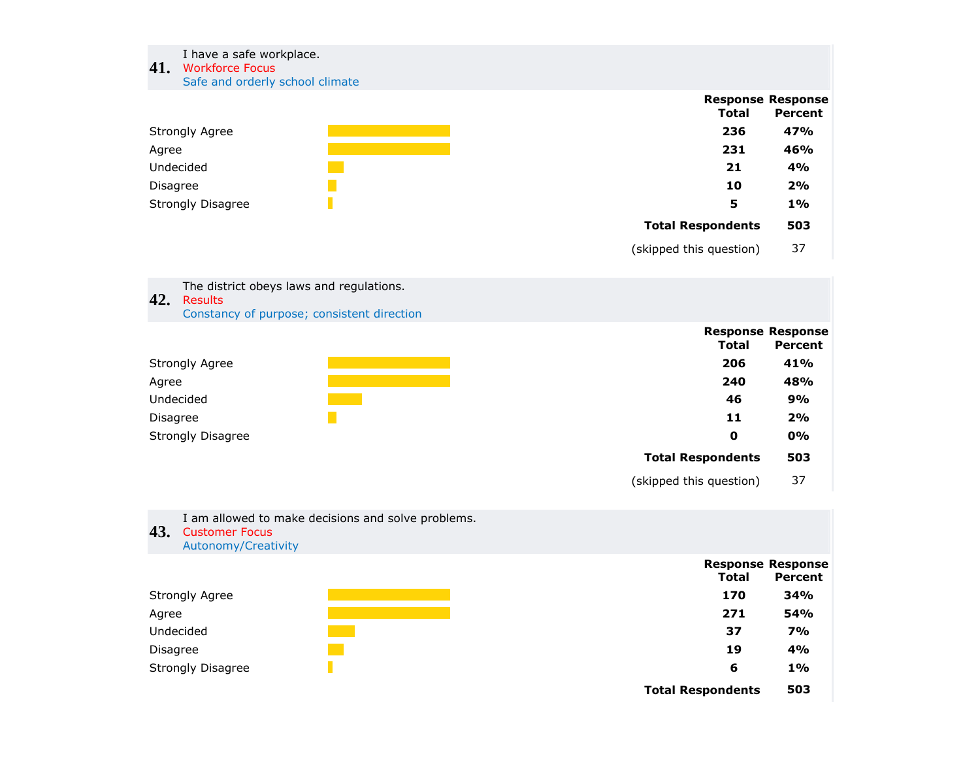### I have a safe workplace.

# **41.** Workforce Focus

Safe and orderly school climate



(skipped this question) 37

**42.** Results The district obeys laws and regulations.

Constancy of purpose; consistent direction



(skipped this question) 37

| 43.      | I am allowed to make decisions and solve problems.<br><b>Customer Focus</b><br>Autonomy/Creativity |              |                                     |
|----------|----------------------------------------------------------------------------------------------------|--------------|-------------------------------------|
|          |                                                                                                    | <b>Total</b> | <b>Response Response</b><br>Percent |
|          | Strongly Agree                                                                                     | 170          | 34%                                 |
| Agree    |                                                                                                    | 271          | 54%                                 |
|          | Undecided                                                                                          | 37           | <b>7%</b>                           |
| Disagree |                                                                                                    | 19           | 4%                                  |
|          | <b>Strongly Disagree</b>                                                                           | 6            | 1%                                  |

**Total Respondents 503**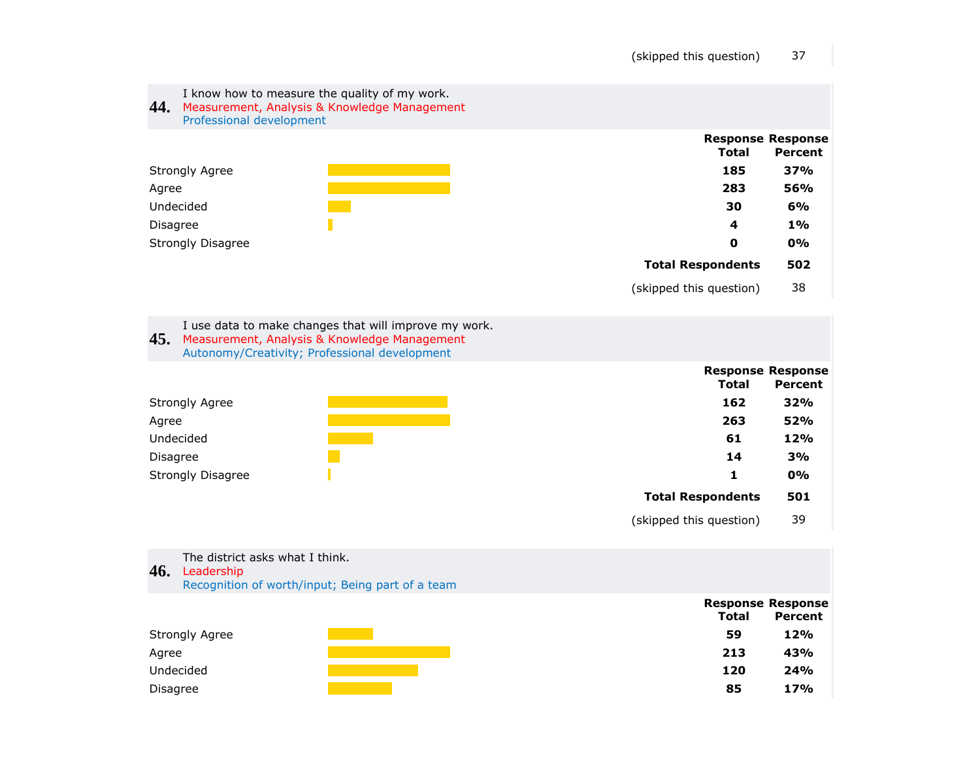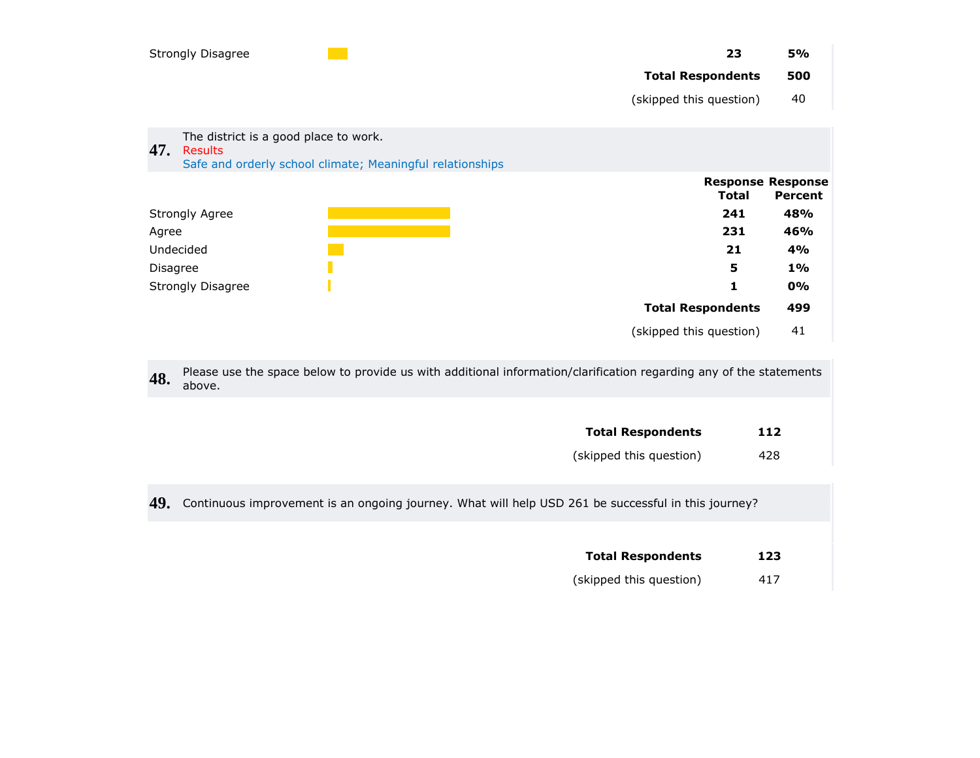|               | Strongly Disagree                                                                                                    | 23                       | <b>5%</b>                                  |
|---------------|----------------------------------------------------------------------------------------------------------------------|--------------------------|--------------------------------------------|
|               |                                                                                                                      | <b>Total Respondents</b> | 500                                        |
|               |                                                                                                                      | (skipped this question)  | 40                                         |
| 47.           | The district is a good place to work.<br><b>Results</b><br>Safe and orderly school climate; Meaningful relationships |                          |                                            |
|               |                                                                                                                      | <b>Total</b>             | <b>Response Response</b><br><b>Percent</b> |
|               | <b>Strongly Agree</b>                                                                                                | 241                      | 48%                                        |
| Agree         |                                                                                                                      | 231                      | 46%                                        |
|               | Undecided                                                                                                            | 21                       | 4%                                         |
| 5<br>Disagree |                                                                                                                      | $1\%$                    |                                            |
|               | <b>Strongly Disagree</b>                                                                                             | 1                        | 0%                                         |

**Total Respondents 499** (skipped this question) 41

**48.** Please use the space below to provide us with additional information/clarification regarding any of the statements above.

| <b>Total Respondents</b> | 112 |
|--------------------------|-----|
| (skipped this question)  | 428 |

**49.** Continuous improvement is an ongoing journey. What will help USD 261 be successful in this journey?

| <b>Total Respondents</b> | 123 |
|--------------------------|-----|
| (skipped this question)  | 417 |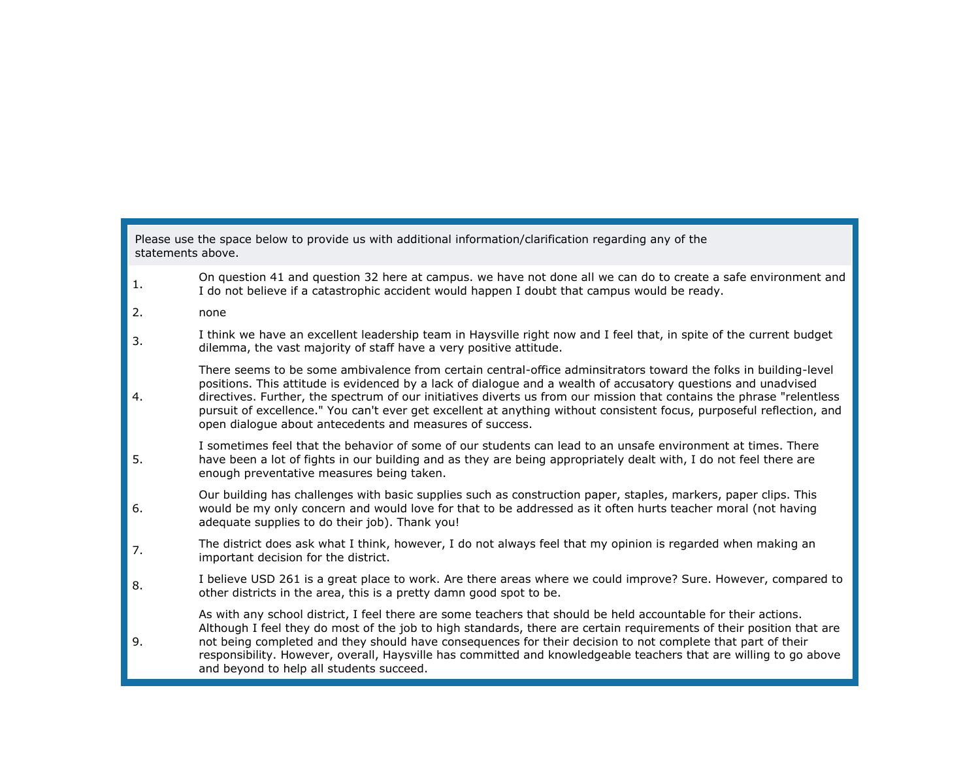### Please use the space below to provide us with additional information/clarification regarding any of the statements above.

- 1. On question 41 and question 32 here at campus. we have not done all we can do to create a safe environment and I do not believe if a catastrophic accident would happen I doubt that campus would be ready.
- 2. none
- 3. I think we have an excellent leadership team in Haysville right now and I feel that, in spite of the current budget dilemma, the vast majority of staff have a very positive attitude.
- 4. There seems to be some ambivalence from certain central-office adminsitrators toward the folks in building-level positions. This attitude is evidenced by a lack of dialogue and a wealth of accusatory questions and unadvised directives. Further, the spectrum of our initiatives diverts us from our mission that contains the phrase "relentless pursuit of excellence." You can't ever get excellent at anything without consistent focus, purposeful reflection, and open dialogue about antecedents and measures of success.
- 5. I sometimes feel that the behavior of some of our students can lead to an unsafe environment at times. There have been a lot of fights in our building and as they are being appropriately dealt with, I do not feel there are enough preventative measures being taken.
- 6. Our building has challenges with basic supplies such as construction paper, staples, markers, paper clips. This would be my only concern and would love for that to be addressed as it often hurts teacher moral (not having adequate supplies to do their job). Thank you!
- 7. The district does ask what I think, however, I do not always feel that my opinion is regarded when making an important decision for the district.
- 8. I believe USD 261 is a great place to work. Are there areas where we could improve? Sure. However, compared to other districts in the area, this is a pretty damn good spot to be.
- 9. As with any school district, I feel there are some teachers that should be held accountable for their actions. Although I feel they do most of the job to high standards, there are certain requirements of their position that are not being completed and they should have consequences for their decision to not complete that part of their responsibility. However, overall, Haysville has committed and knowledgeable teachers that are willing to go above and beyond to help all students succeed.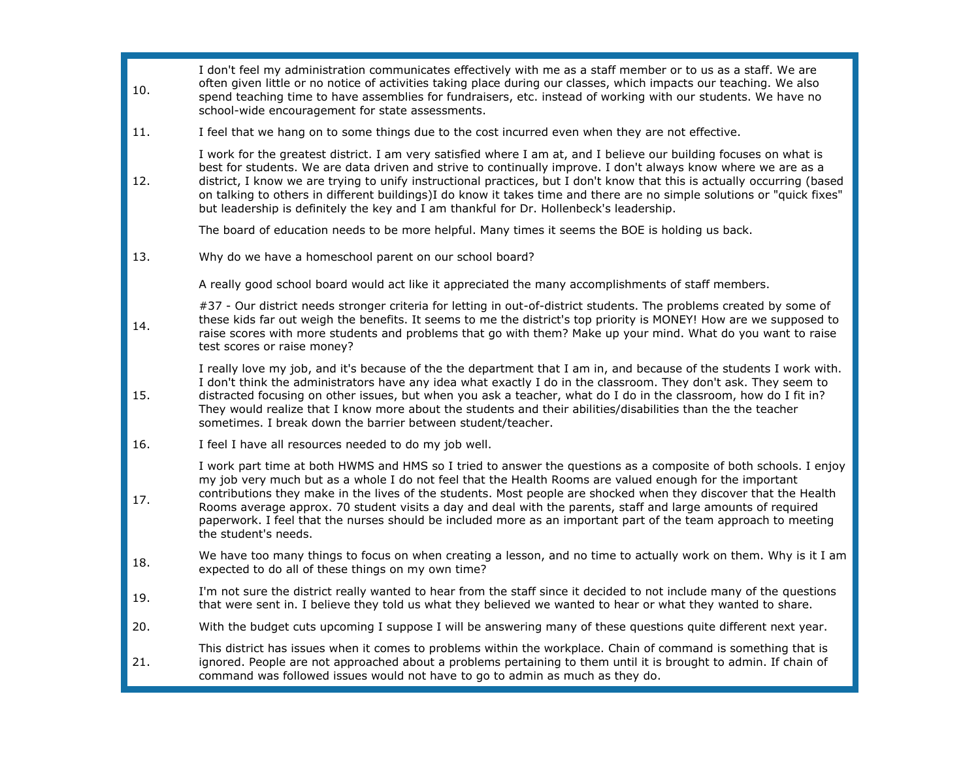| 10. | I don't feel my administration communicates effectively with me as a staff member or to us as a staff. We are<br>often given little or no notice of activities taking place during our classes, which impacts our teaching. We also<br>spend teaching time to have assemblies for fundraisers, etc. instead of working with our students. We have no<br>school-wide encouragement for state assessments.                                                                                                                                                                                                  |
|-----|-----------------------------------------------------------------------------------------------------------------------------------------------------------------------------------------------------------------------------------------------------------------------------------------------------------------------------------------------------------------------------------------------------------------------------------------------------------------------------------------------------------------------------------------------------------------------------------------------------------|
| 11. | I feel that we hang on to some things due to the cost incurred even when they are not effective.                                                                                                                                                                                                                                                                                                                                                                                                                                                                                                          |
| 12. | I work for the greatest district. I am very satisfied where I am at, and I believe our building focuses on what is<br>best for students. We are data driven and strive to continually improve. I don't always know where we are as a<br>district, I know we are trying to unify instructional practices, but I don't know that this is actually occurring (based<br>on talking to others in different buildings)I do know it takes time and there are no simple solutions or "quick fixes"<br>but leadership is definitely the key and I am thankful for Dr. Hollenbeck's leadership.                     |
|     | The board of education needs to be more helpful. Many times it seems the BOE is holding us back.                                                                                                                                                                                                                                                                                                                                                                                                                                                                                                          |
| 13. | Why do we have a homeschool parent on our school board?                                                                                                                                                                                                                                                                                                                                                                                                                                                                                                                                                   |
|     | A really good school board would act like it appreciated the many accomplishments of staff members.                                                                                                                                                                                                                                                                                                                                                                                                                                                                                                       |
| 14. | #37 - Our district needs stronger criteria for letting in out-of-district students. The problems created by some of<br>these kids far out weigh the benefits. It seems to me the district's top priority is MONEY! How are we supposed to<br>raise scores with more students and problems that go with them? Make up your mind. What do you want to raise<br>test scores or raise money?                                                                                                                                                                                                                  |
| 15. | I really love my job, and it's because of the the department that I am in, and because of the students I work with.<br>I don't think the administrators have any idea what exactly I do in the classroom. They don't ask. They seem to<br>distracted focusing on other issues, but when you ask a teacher, what do I do in the classroom, how do I fit in?<br>They would realize that I know more about the students and their abilities/disabilities than the the teacher<br>sometimes. I break down the barrier between student/teacher.                                                                |
| 16. | I feel I have all resources needed to do my job well.                                                                                                                                                                                                                                                                                                                                                                                                                                                                                                                                                     |
| 17. | I work part time at both HWMS and HMS so I tried to answer the questions as a composite of both schools. I enjoy<br>my job very much but as a whole I do not feel that the Health Rooms are valued enough for the important<br>contributions they make in the lives of the students. Most people are shocked when they discover that the Health<br>Rooms average approx. 70 student visits a day and deal with the parents, staff and large amounts of required<br>paperwork. I feel that the nurses should be included more as an important part of the team approach to meeting<br>the student's needs. |
| 18. | We have too many things to focus on when creating a lesson, and no time to actually work on them. Why is it I am<br>expected to do all of these things on my own time?                                                                                                                                                                                                                                                                                                                                                                                                                                    |
| 19. | I'm not sure the district really wanted to hear from the staff since it decided to not include many of the questions<br>that were sent in. I believe they told us what they believed we wanted to hear or what they wanted to share.                                                                                                                                                                                                                                                                                                                                                                      |
| 20. | With the budget cuts upcoming I suppose I will be answering many of these questions quite different next year.                                                                                                                                                                                                                                                                                                                                                                                                                                                                                            |
| 21. | This district has issues when it comes to problems within the workplace. Chain of command is something that is<br>ignored. People are not approached about a problems pertaining to them until it is brought to admin. If chain of<br>command was followed issues would not have to go to admin as much as they do.                                                                                                                                                                                                                                                                                       |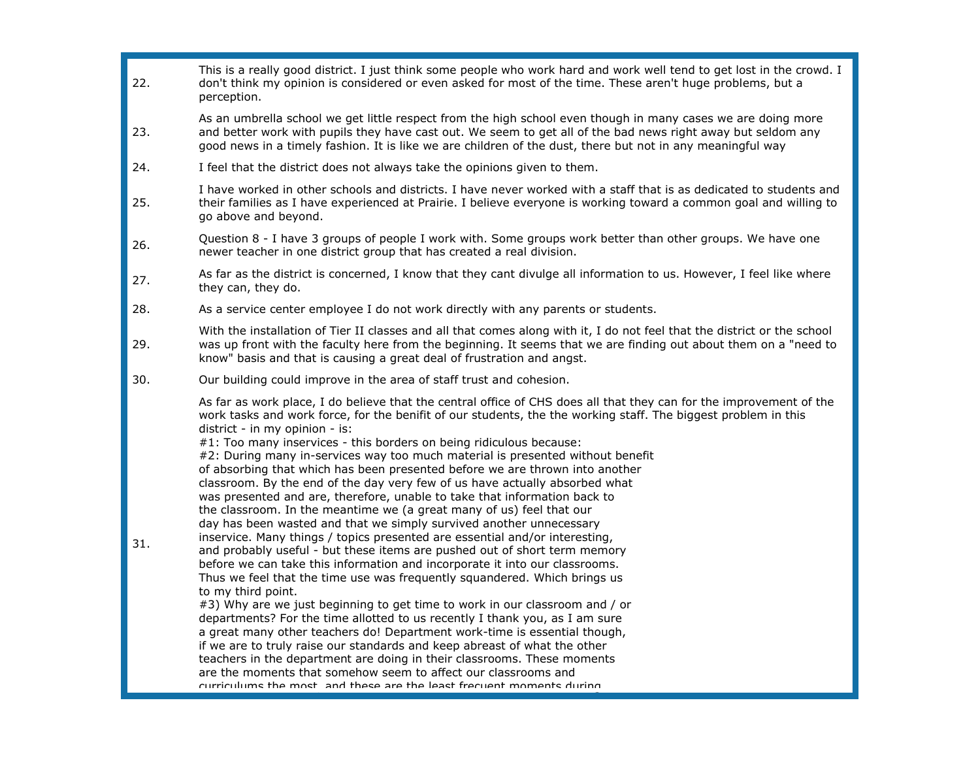| 22. | This is a really good district. I just think some people who work hard and work well tend to get lost in the crowd. I<br>don't think my opinion is considered or even asked for most of the time. These aren't huge problems, but a<br>perception.                                                                                                                                                                                                                                                                                                                                                                                                                                                                                                                                                                                                                                                                                                                                                                                                                                                                                                                                                                                                                                                                                                                                                                                                                                                                                                                                                                                                                                                                     |
|-----|------------------------------------------------------------------------------------------------------------------------------------------------------------------------------------------------------------------------------------------------------------------------------------------------------------------------------------------------------------------------------------------------------------------------------------------------------------------------------------------------------------------------------------------------------------------------------------------------------------------------------------------------------------------------------------------------------------------------------------------------------------------------------------------------------------------------------------------------------------------------------------------------------------------------------------------------------------------------------------------------------------------------------------------------------------------------------------------------------------------------------------------------------------------------------------------------------------------------------------------------------------------------------------------------------------------------------------------------------------------------------------------------------------------------------------------------------------------------------------------------------------------------------------------------------------------------------------------------------------------------------------------------------------------------------------------------------------------------|
| 23. | As an umbrella school we get little respect from the high school even though in many cases we are doing more<br>and better work with pupils they have cast out. We seem to get all of the bad news right away but seldom any<br>good news in a timely fashion. It is like we are children of the dust, there but not in any meaningful way                                                                                                                                                                                                                                                                                                                                                                                                                                                                                                                                                                                                                                                                                                                                                                                                                                                                                                                                                                                                                                                                                                                                                                                                                                                                                                                                                                             |
| 24. | I feel that the district does not always take the opinions given to them.                                                                                                                                                                                                                                                                                                                                                                                                                                                                                                                                                                                                                                                                                                                                                                                                                                                                                                                                                                                                                                                                                                                                                                                                                                                                                                                                                                                                                                                                                                                                                                                                                                              |
| 25. | I have worked in other schools and districts. I have never worked with a staff that is as dedicated to students and<br>their families as I have experienced at Prairie. I believe everyone is working toward a common goal and willing to<br>go above and beyond.                                                                                                                                                                                                                                                                                                                                                                                                                                                                                                                                                                                                                                                                                                                                                                                                                                                                                                                                                                                                                                                                                                                                                                                                                                                                                                                                                                                                                                                      |
| 26. | Question 8 - I have 3 groups of people I work with. Some groups work better than other groups. We have one<br>newer teacher in one district group that has created a real division.                                                                                                                                                                                                                                                                                                                                                                                                                                                                                                                                                                                                                                                                                                                                                                                                                                                                                                                                                                                                                                                                                                                                                                                                                                                                                                                                                                                                                                                                                                                                    |
| 27. | As far as the district is concerned, I know that they cant divulge all information to us. However, I feel like where<br>they can, they do.                                                                                                                                                                                                                                                                                                                                                                                                                                                                                                                                                                                                                                                                                                                                                                                                                                                                                                                                                                                                                                                                                                                                                                                                                                                                                                                                                                                                                                                                                                                                                                             |
| 28. | As a service center employee I do not work directly with any parents or students.                                                                                                                                                                                                                                                                                                                                                                                                                                                                                                                                                                                                                                                                                                                                                                                                                                                                                                                                                                                                                                                                                                                                                                                                                                                                                                                                                                                                                                                                                                                                                                                                                                      |
| 29. | With the installation of Tier II classes and all that comes along with it, I do not feel that the district or the school<br>was up front with the faculty here from the beginning. It seems that we are finding out about them on a "need to<br>know" basis and that is causing a great deal of frustration and angst.                                                                                                                                                                                                                                                                                                                                                                                                                                                                                                                                                                                                                                                                                                                                                                                                                                                                                                                                                                                                                                                                                                                                                                                                                                                                                                                                                                                                 |
| 30. | Our building could improve in the area of staff trust and cohesion.                                                                                                                                                                                                                                                                                                                                                                                                                                                                                                                                                                                                                                                                                                                                                                                                                                                                                                                                                                                                                                                                                                                                                                                                                                                                                                                                                                                                                                                                                                                                                                                                                                                    |
| 31. | As far as work place, I do believe that the central office of CHS does all that they can for the improvement of the<br>work tasks and work force, for the benifit of our students, the the working staff. The biggest problem in this<br>district - in my opinion - is:<br>#1: Too many inservices - this borders on being ridiculous because:<br>#2: During many in-services way too much material is presented without benefit<br>of absorbing that which has been presented before we are thrown into another<br>classroom. By the end of the day very few of us have actually absorbed what<br>was presented and are, therefore, unable to take that information back to<br>the classroom. In the meantime we (a great many of us) feel that our<br>day has been wasted and that we simply survived another unnecessary<br>inservice. Many things / topics presented are essential and/or interesting,<br>and probably useful - but these items are pushed out of short term memory<br>before we can take this information and incorporate it into our classrooms.<br>Thus we feel that the time use was frequently squandered. Which brings us<br>to my third point.<br>#3) Why are we just beginning to get time to work in our classroom and / or<br>departments? For the time allotted to us recently I thank you, as I am sure<br>a great many other teachers do! Department work-time is essential though,<br>if we are to truly raise our standards and keep abreast of what the other<br>teachers in the department are doing in their classrooms. These moments<br>are the moments that somehow seem to affect our classrooms and<br>curriculums the most and these are the least frequent moments during |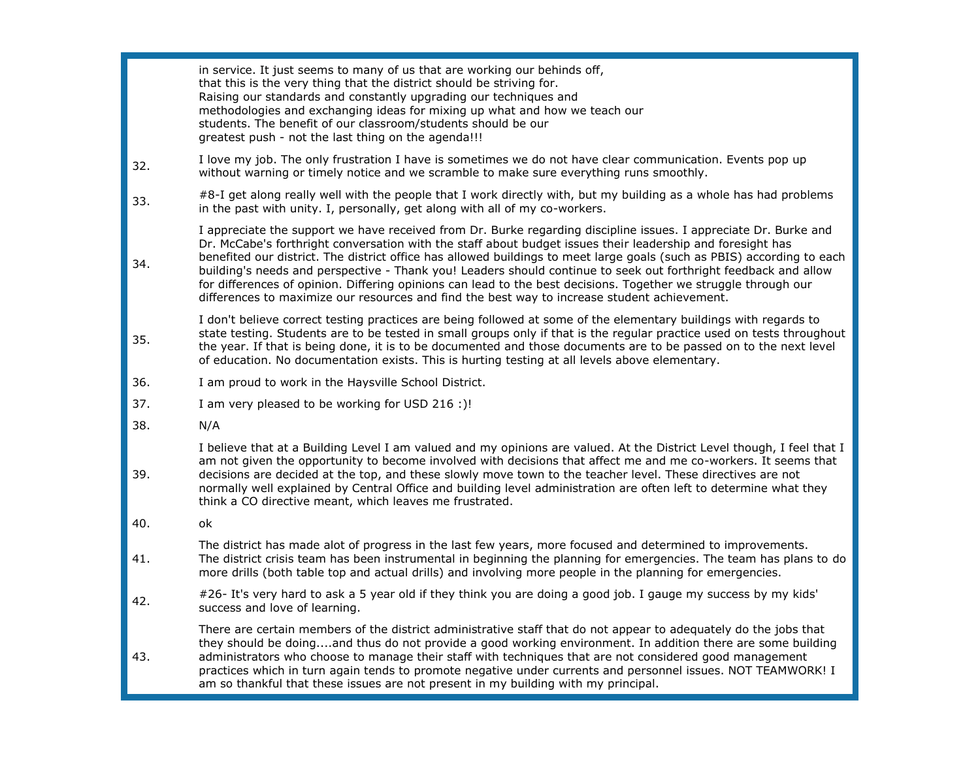in service. It just seems to many of us that are working our behinds off, that this is the very thing that the district should be striving for. Raising our standards and constantly upgrading our techniques and methodologies and exchanging ideas for mixing up what and how we teach our students. The benefit of our classroom/students should be our greatest push - not the last thing on the agenda!!! 32. I love my job. The only frustration I have is sometimes we do not have clear communication. Events pop up without warning or timely notice and we scramble to make sure everything runs smoothly. 33. #8-I get along really well with the people that I work directly with, but my building as a whole has had problems in the past with unity. I, personally, get along with all of my co-workers. 34. I appreciate the support we have received from Dr. Burke regarding discipline issues. I appreciate Dr. Burke and Dr. McCabe's forthright conversation with the staff about budget issues their leadership and foresight has benefited our district. The district office has allowed buildings to meet large goals (such as PBIS) according to each building's needs and perspective - Thank you! Leaders should continue to seek out forthright feedback and allow for differences of opinion. Differing opinions can lead to the best decisions. Together we struggle through our differences to maximize our resources and find the best way to increase student achievement. 35. I don't believe correct testing practices are being followed at some of the elementary buildings with regards to state testing. Students are to be tested in small groups only if that is the regular practice used on tests throughout the year. If that is being done, it is to be documented and those documents are to be passed on to the next level of education. No documentation exists. This is hurting testing at all levels above elementary. 36. I am proud to work in the Haysville School District. 37. I am very pleased to be working for USD 216 :)! 38. N/A 39. I believe that at a Building Level I am valued and my opinions are valued. At the District Level though, I feel that I am not given the opportunity to become involved with decisions that affect me and me co-workers. It seems that decisions are decided at the top, and these slowly move town to the teacher level. These directives are not normally well explained by Central Office and building level administration are often left to determine what they think a CO directive meant, which leaves me frustrated. 40. ok 41. The district has made alot of progress in the last few years, more focused and determined to improvements. The district crisis team has been instrumental in beginning the planning for emergencies. The team has plans to do more drills (both table top and actual drills) and involving more people in the planning for emergencies. 42. #26- It's very hard to ask a 5 year old if they think you are doing a good job. I gauge my success by my kids' success and love of learning. 43. There are certain members of the district administrative staff that do not appear to adequately do the jobs that they should be doing....and thus do not provide a good working environment. In addition there are some building administrators who choose to manage their staff with techniques that are not considered good management practices which in turn again tends to promote negative under currents and personnel issues. NOT TEAMWORK! I am so thankful that these issues are not present in my building with my principal.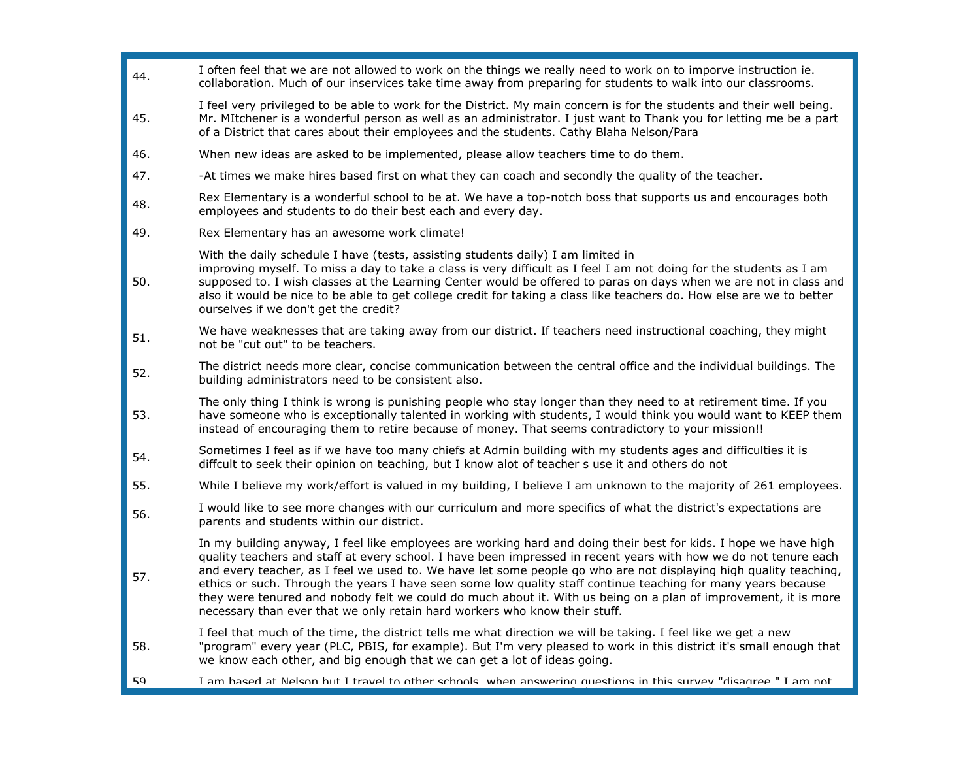| 44. | I often feel that we are not allowed to work on the things we really need to work on to imporve instruction ie.<br>collaboration. Much of our inservices take time away from preparing for students to walk into our classrooms.                                                                                                                                                                                                                                                                                                                                                                                                                                            |
|-----|-----------------------------------------------------------------------------------------------------------------------------------------------------------------------------------------------------------------------------------------------------------------------------------------------------------------------------------------------------------------------------------------------------------------------------------------------------------------------------------------------------------------------------------------------------------------------------------------------------------------------------------------------------------------------------|
| 45. | I feel very privileged to be able to work for the District. My main concern is for the students and their well being.<br>Mr. MItchener is a wonderful person as well as an administrator. I just want to Thank you for letting me be a part<br>of a District that cares about their employees and the students. Cathy Blaha Nelson/Para                                                                                                                                                                                                                                                                                                                                     |
| 46. | When new ideas are asked to be implemented, please allow teachers time to do them.                                                                                                                                                                                                                                                                                                                                                                                                                                                                                                                                                                                          |
| 47. | -At times we make hires based first on what they can coach and secondly the quality of the teacher.                                                                                                                                                                                                                                                                                                                                                                                                                                                                                                                                                                         |
| 48. | Rex Elementary is a wonderful school to be at. We have a top-notch boss that supports us and encourages both<br>employees and students to do their best each and every day.                                                                                                                                                                                                                                                                                                                                                                                                                                                                                                 |
| 49. | Rex Elementary has an awesome work climate!                                                                                                                                                                                                                                                                                                                                                                                                                                                                                                                                                                                                                                 |
| 50. | With the daily schedule I have (tests, assisting students daily) I am limited in<br>improving myself. To miss a day to take a class is very difficult as I feel I am not doing for the students as I am<br>supposed to. I wish classes at the Learning Center would be offered to paras on days when we are not in class and<br>also it would be nice to be able to get college credit for taking a class like teachers do. How else are we to better<br>ourselves if we don't get the credit?                                                                                                                                                                              |
| 51. | We have weaknesses that are taking away from our district. If teachers need instructional coaching, they might<br>not be "cut out" to be teachers.                                                                                                                                                                                                                                                                                                                                                                                                                                                                                                                          |
| 52. | The district needs more clear, concise communication between the central office and the individual buildings. The<br>building administrators need to be consistent also.                                                                                                                                                                                                                                                                                                                                                                                                                                                                                                    |
| 53. | The only thing I think is wrong is punishing people who stay longer than they need to at retirement time. If you<br>have someone who is exceptionally talented in working with students, I would think you would want to KEEP them<br>instead of encouraging them to retire because of money. That seems contradictory to your mission!!                                                                                                                                                                                                                                                                                                                                    |
| 54. | Sometimes I feel as if we have too many chiefs at Admin building with my students ages and difficulties it is<br>diffcult to seek their opinion on teaching, but I know alot of teacher s use it and others do not                                                                                                                                                                                                                                                                                                                                                                                                                                                          |
| 55. | While I believe my work/effort is valued in my building, I believe I am unknown to the majority of 261 employees.                                                                                                                                                                                                                                                                                                                                                                                                                                                                                                                                                           |
| 56. | I would like to see more changes with our curriculum and more specifics of what the district's expectations are<br>parents and students within our district.                                                                                                                                                                                                                                                                                                                                                                                                                                                                                                                |
| 57. | In my building anyway, I feel like employees are working hard and doing their best for kids. I hope we have high<br>quality teachers and staff at every school. I have been impressed in recent years with how we do not tenure each<br>and every teacher, as I feel we used to. We have let some people go who are not displaying high quality teaching,<br>ethics or such. Through the years I have seen some low quality staff continue teaching for many years because<br>they were tenured and nobody felt we could do much about it. With us being on a plan of improvement, it is more<br>necessary than ever that we only retain hard workers who know their stuff. |
| 58. | I feel that much of the time, the district tells me what direction we will be taking. I feel like we get a new<br>"program" every year (PLC, PBIS, for example). But I'm very pleased to work in this district it's small enough that<br>we know each other, and big enough that we can get a lot of ideas going.                                                                                                                                                                                                                                                                                                                                                           |
| 59  | I am hased at Nelson hut I travel to other schools when answering questions in this survey "disagree "I am not                                                                                                                                                                                                                                                                                                                                                                                                                                                                                                                                                              |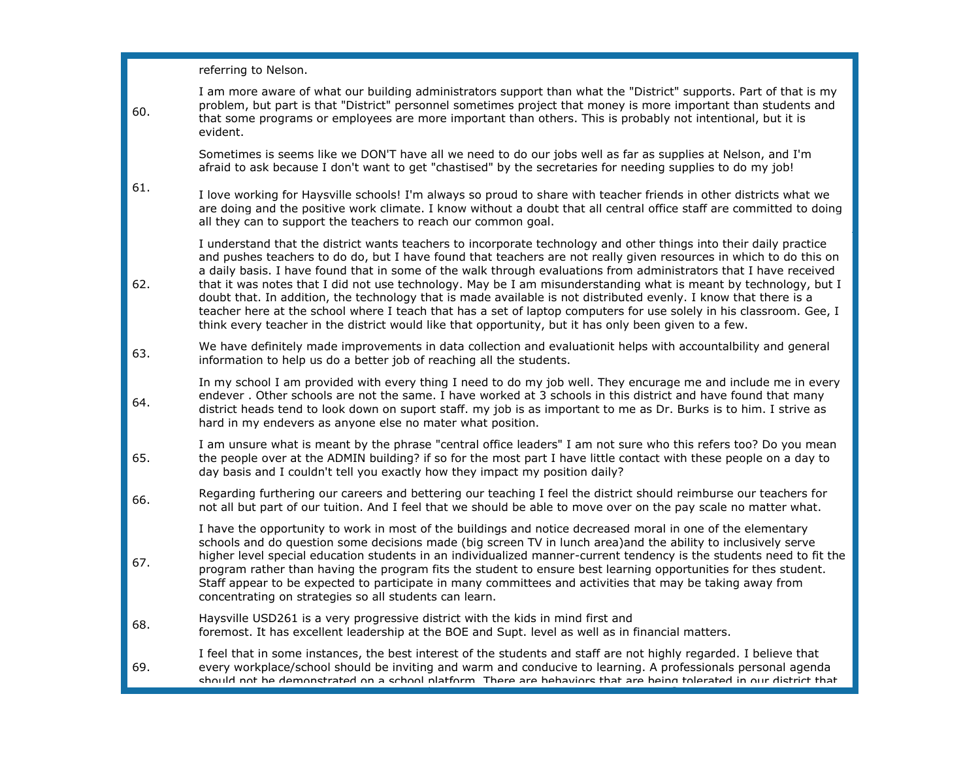referring to Nelson.

| 60. | I am more aware of what our building administrators support than what the "District" supports. Part of that is my<br>problem, but part is that "District" personnel sometimes project that money is more important than students and<br>that some programs or employees are more important than others. This is probably not intentional, but it is<br>evident.                                                                                                                                                                                                                                                                                                                                                                                                                                                                       |
|-----|---------------------------------------------------------------------------------------------------------------------------------------------------------------------------------------------------------------------------------------------------------------------------------------------------------------------------------------------------------------------------------------------------------------------------------------------------------------------------------------------------------------------------------------------------------------------------------------------------------------------------------------------------------------------------------------------------------------------------------------------------------------------------------------------------------------------------------------|
|     | Sometimes is seems like we DON'T have all we need to do our jobs well as far as supplies at Nelson, and I'm<br>afraid to ask because I don't want to get "chastised" by the secretaries for needing supplies to do my job!                                                                                                                                                                                                                                                                                                                                                                                                                                                                                                                                                                                                            |
| 61. | I love working for Haysville schools! I'm always so proud to share with teacher friends in other districts what we<br>are doing and the positive work climate. I know without a doubt that all central office staff are committed to doing<br>all they can to support the teachers to reach our common goal.                                                                                                                                                                                                                                                                                                                                                                                                                                                                                                                          |
| 62. | I understand that the district wants teachers to incorporate technology and other things into their daily practice<br>and pushes teachers to do do, but I have found that teachers are not really given resources in which to do this on<br>a daily basis. I have found that in some of the walk through evaluations from administrators that I have received<br>that it was notes that I did not use technology. May be I am misunderstanding what is meant by technology, but I<br>doubt that. In addition, the technology that is made available is not distributed evenly. I know that there is a<br>teacher here at the school where I teach that has a set of laptop computers for use solely in his classroom. Gee, I<br>think every teacher in the district would like that opportunity, but it has only been given to a few. |
| 63. | We have definitely made improvements in data collection and evaluationit helps with accountalbility and general<br>information to help us do a better job of reaching all the students.                                                                                                                                                                                                                                                                                                                                                                                                                                                                                                                                                                                                                                               |
| 64. | In my school I am provided with every thing I need to do my job well. They encurage me and include me in every<br>endever. Other schools are not the same. I have worked at 3 schools in this district and have found that many<br>district heads tend to look down on suport staff. my job is as important to me as Dr. Burks is to him. I strive as<br>hard in my endevers as anyone else no mater what position.                                                                                                                                                                                                                                                                                                                                                                                                                   |
| 65. | I am unsure what is meant by the phrase "central office leaders" I am not sure who this refers too? Do you mean<br>the people over at the ADMIN building? if so for the most part I have little contact with these people on a day to<br>day basis and I couldn't tell you exactly how they impact my position daily?                                                                                                                                                                                                                                                                                                                                                                                                                                                                                                                 |
| 66. | Regarding furthering our careers and bettering our teaching I feel the district should reimburse our teachers for<br>not all but part of our tuition. And I feel that we should be able to move over on the pay scale no matter what.                                                                                                                                                                                                                                                                                                                                                                                                                                                                                                                                                                                                 |
| 67. | I have the opportunity to work in most of the buildings and notice decreased moral in one of the elementary<br>schools and do question some decisions made (big screen TV in lunch area)and the ability to inclusively serve<br>higher level special education students in an individualized manner-current tendency is the students need to fit the<br>program rather than having the program fits the student to ensure best learning opportunities for thes student.<br>Staff appear to be expected to participate in many committees and activities that may be taking away from<br>concentrating on strategies so all students can learn.                                                                                                                                                                                        |
| 68. | Haysville USD261 is a very progressive district with the kids in mind first and<br>foremost. It has excellent leadership at the BOE and Supt. level as well as in financial matters.                                                                                                                                                                                                                                                                                                                                                                                                                                                                                                                                                                                                                                                  |
| 69. | I feel that in some instances, the best interest of the students and staff are not highly regarded. I believe that<br>every workplace/school should be inviting and warm and conducive to learning. A professionals personal agenda<br>should not he demonstrated on a school nlatform. There are hehaviors that are heing tolerated in our district that                                                                                                                                                                                                                                                                                                                                                                                                                                                                             |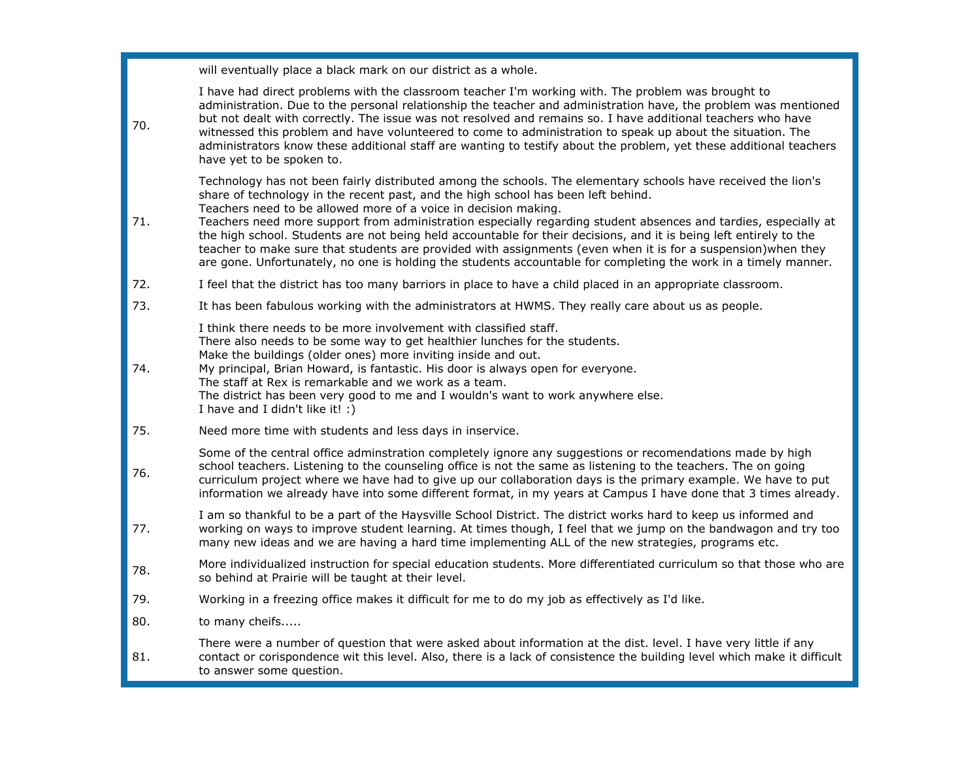will eventually place a black mark on our district as a whole.

| 70. | I have had direct problems with the classroom teacher I'm working with. The problem was brought to<br>administration. Due to the personal relationship the teacher and administration have, the problem was mentioned<br>but not dealt with correctly. The issue was not resolved and remains so. I have additional teachers who have<br>witnessed this problem and have volunteered to come to administration to speak up about the situation. The<br>administrators know these additional staff are wanting to testify about the problem, yet these additional teachers<br>have yet to be spoken to.                                                                                                                                             |
|-----|----------------------------------------------------------------------------------------------------------------------------------------------------------------------------------------------------------------------------------------------------------------------------------------------------------------------------------------------------------------------------------------------------------------------------------------------------------------------------------------------------------------------------------------------------------------------------------------------------------------------------------------------------------------------------------------------------------------------------------------------------|
| 71. | Technology has not been fairly distributed among the schools. The elementary schools have received the lion's<br>share of technology in the recent past, and the high school has been left behind.<br>Teachers need to be allowed more of a voice in decision making.<br>Teachers need more support from administration especially regarding student absences and tardies, especially at<br>the high school. Students are not being held accountable for their decisions, and it is being left entirely to the<br>teacher to make sure that students are provided with assignments (even when it is for a suspension) when they<br>are gone. Unfortunately, no one is holding the students accountable for completing the work in a timely manner. |
| 72. | I feel that the district has too many barriors in place to have a child placed in an appropriate classroom.                                                                                                                                                                                                                                                                                                                                                                                                                                                                                                                                                                                                                                        |
| 73. | It has been fabulous working with the administrators at HWMS. They really care about us as people.                                                                                                                                                                                                                                                                                                                                                                                                                                                                                                                                                                                                                                                 |
| 74. | I think there needs to be more involvement with classified staff.<br>There also needs to be some way to get healthier lunches for the students.<br>Make the buildings (older ones) more inviting inside and out.<br>My principal, Brian Howard, is fantastic. His door is always open for everyone.<br>The staff at Rex is remarkable and we work as a team.<br>The district has been very good to me and I wouldn's want to work anywhere else.<br>I have and I didn't like it! :)                                                                                                                                                                                                                                                                |
| 75. | Need more time with students and less days in inservice.                                                                                                                                                                                                                                                                                                                                                                                                                                                                                                                                                                                                                                                                                           |
| 76. | Some of the central office adminstration completely ignore any suggestions or recomendations made by high<br>school teachers. Listening to the counseling office is not the same as listening to the teachers. The on going<br>curriculum project where we have had to give up our collaboration days is the primary example. We have to put<br>information we already have into some different format, in my years at Campus I have done that 3 times already.                                                                                                                                                                                                                                                                                    |
| 77. | I am so thankful to be a part of the Haysville School District. The district works hard to keep us informed and<br>working on ways to improve student learning. At times though, I feel that we jump on the bandwagon and try too<br>many new ideas and we are having a hard time implementing ALL of the new strategies, programs etc.                                                                                                                                                                                                                                                                                                                                                                                                            |
| 78. | More individualized instruction for special education students. More differentiated curriculum so that those who are<br>so behind at Prairie will be taught at their level.                                                                                                                                                                                                                                                                                                                                                                                                                                                                                                                                                                        |
| 79. | Working in a freezing office makes it difficult for me to do my job as effectively as I'd like.                                                                                                                                                                                                                                                                                                                                                                                                                                                                                                                                                                                                                                                    |
| 80. | to many cheifs                                                                                                                                                                                                                                                                                                                                                                                                                                                                                                                                                                                                                                                                                                                                     |
| 81. | There were a number of question that were asked about information at the dist. level. I have very little if any<br>contact or corispondence wit this level. Also, there is a lack of consistence the building level which make it difficult<br>to answer some question.                                                                                                                                                                                                                                                                                                                                                                                                                                                                            |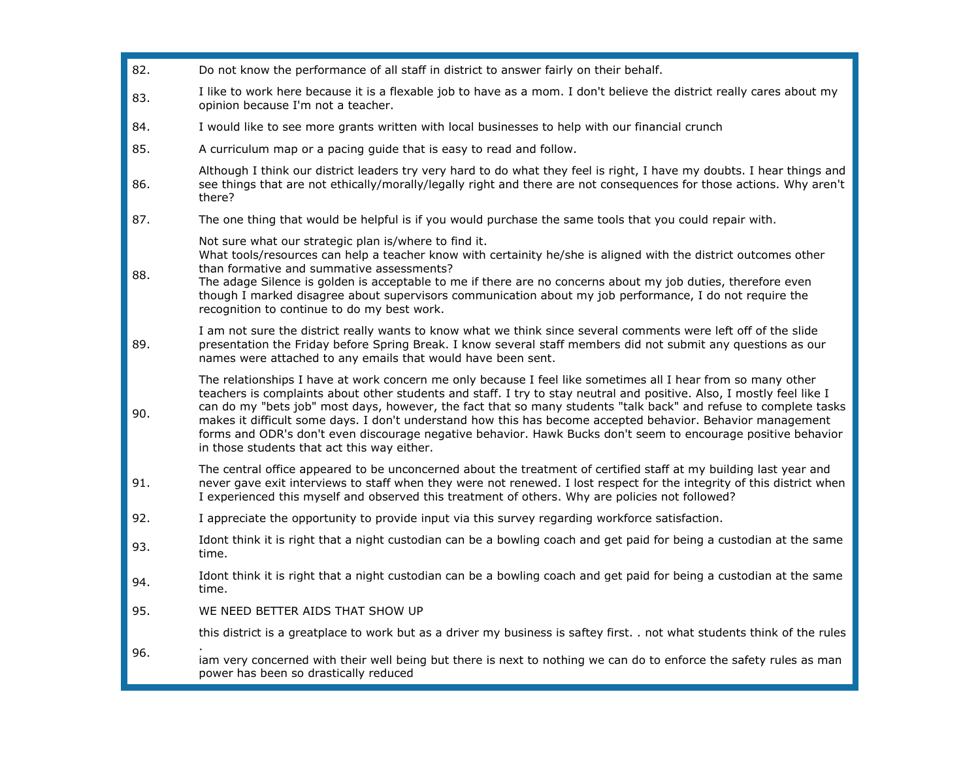| 82. | Do not know the performance of all staff in district to answer fairly on their behalf.                                                                                                                                                                                                                                                                                                                                                                                                                                                                                                                                                   |
|-----|------------------------------------------------------------------------------------------------------------------------------------------------------------------------------------------------------------------------------------------------------------------------------------------------------------------------------------------------------------------------------------------------------------------------------------------------------------------------------------------------------------------------------------------------------------------------------------------------------------------------------------------|
| 83. | I like to work here because it is a flexable job to have as a mom. I don't believe the district really cares about my<br>opinion because I'm not a teacher.                                                                                                                                                                                                                                                                                                                                                                                                                                                                              |
| 84. | I would like to see more grants written with local businesses to help with our financial crunch                                                                                                                                                                                                                                                                                                                                                                                                                                                                                                                                          |
| 85. | A curriculum map or a pacing guide that is easy to read and follow.                                                                                                                                                                                                                                                                                                                                                                                                                                                                                                                                                                      |
| 86. | Although I think our district leaders try very hard to do what they feel is right, I have my doubts. I hear things and<br>see things that are not ethically/morally/legally right and there are not consequences for those actions. Why aren't<br>there?                                                                                                                                                                                                                                                                                                                                                                                 |
| 87. | The one thing that would be helpful is if you would purchase the same tools that you could repair with.                                                                                                                                                                                                                                                                                                                                                                                                                                                                                                                                  |
| 88. | Not sure what our strategic plan is/where to find it.<br>What tools/resources can help a teacher know with certainity he/she is aligned with the district outcomes other<br>than formative and summative assessments?<br>The adage Silence is golden is acceptable to me if there are no concerns about my job duties, therefore even<br>though I marked disagree about supervisors communication about my job performance, I do not require the<br>recognition to continue to do my best work.                                                                                                                                          |
| 89. | I am not sure the district really wants to know what we think since several comments were left off of the slide<br>presentation the Friday before Spring Break. I know several staff members did not submit any questions as our<br>names were attached to any emails that would have been sent.                                                                                                                                                                                                                                                                                                                                         |
| 90. | The relationships I have at work concern me only because I feel like sometimes all I hear from so many other<br>teachers is complaints about other students and staff. I try to stay neutral and positive. Also, I mostly feel like I<br>can do my "bets job" most days, however, the fact that so many students "talk back" and refuse to complete tasks<br>makes it difficult some days. I don't understand how this has become accepted behavior. Behavior management<br>forms and ODR's don't even discourage negative behavior. Hawk Bucks don't seem to encourage positive behavior<br>in those students that act this way either. |
| 91. | The central office appeared to be unconcerned about the treatment of certified staff at my building last year and<br>never gave exit interviews to staff when they were not renewed. I lost respect for the integrity of this district when<br>I experienced this myself and observed this treatment of others. Why are policies not followed?                                                                                                                                                                                                                                                                                           |
| 92. | I appreciate the opportunity to provide input via this survey regarding workforce satisfaction.                                                                                                                                                                                                                                                                                                                                                                                                                                                                                                                                          |
| 93. | Idont think it is right that a night custodian can be a bowling coach and get paid for being a custodian at the same<br>time.                                                                                                                                                                                                                                                                                                                                                                                                                                                                                                            |
| 94. | Idont think it is right that a night custodian can be a bowling coach and get paid for being a custodian at the same<br>time.                                                                                                                                                                                                                                                                                                                                                                                                                                                                                                            |
| 95. | WE NEED BETTER AIDS THAT SHOW UP                                                                                                                                                                                                                                                                                                                                                                                                                                                                                                                                                                                                         |
|     | this district is a greatplace to work but as a driver my business is saftey first. . not what students think of the rules                                                                                                                                                                                                                                                                                                                                                                                                                                                                                                                |
| 96. | iam very concerned with their well being but there is next to nothing we can do to enforce the safety rules as man<br>power has been so drastically reduced                                                                                                                                                                                                                                                                                                                                                                                                                                                                              |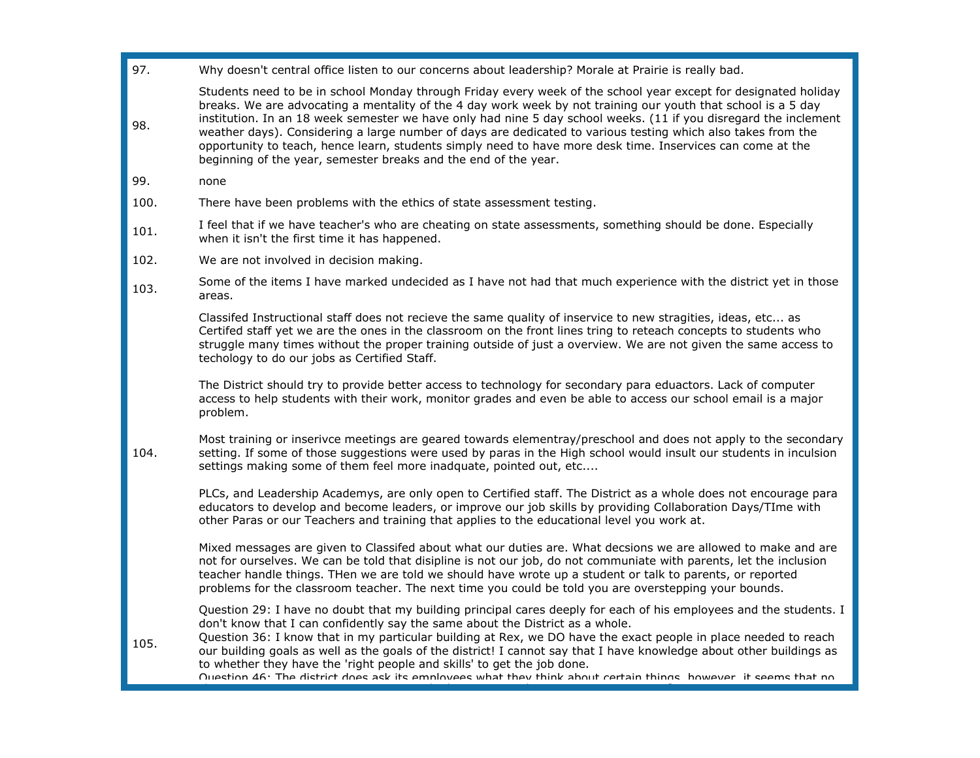97. Why doesn't central office listen to our concerns about leadership? Morale at Prairie is really bad.

Students need to be in school Monday through Friday every week of the school year except for designated holiday breaks. We are advocating a mentality of the 4 day work week by not training our youth that school is a 5 day institution. In an 18 week semester we have only had nine 5 day school weeks. (11 if you disregard the inclement weather days). Considering a large number of days are dedicated to various testing which also takes from the opportunity to teach, hence learn, students simply need to have more desk time. Inservices can come at the beginning of the year, semester breaks and the end of the year.

99. none

98.

- 100. There have been problems with the ethics of state assessment testing.
- 101. I feel that if we have teacher's who are cheating on state assessments, something should be done. Especially when it isn't the first time it has happened.
- 102. We are not involved in decision making.
- 103. Some of the items I have marked undecided as I have not had that much experience with the district yet in those areas.

Classifed Instructional staff does not recieve the same quality of inservice to new stragities, ideas, etc... as Certifed staff yet we are the ones in the classroom on the front lines tring to reteach concepts to students who struggle many times without the proper training outside of just a overview. We are not given the same access to techology to do our jobs as Certified Staff.

The District should try to provide better access to technology for secondary para eduactors. Lack of computer access to help students with their work, monitor grades and even be able to access our school email is a major problem.

104. Most training or inserivce meetings are geared towards elementray/preschool and does not apply to the secondary setting. If some of those suggestions were used by paras in the High school would insult our students in inculsion settings making some of them feel more inadquate, pointed out, etc....

PLCs, and Leadership Academys, are only open to Certified staff. The District as a whole does not encourage para educators to develop and become leaders, or improve our job skills by providing Collaboration Days/TIme with other Paras or our Teachers and training that applies to the educational level you work at.

Mixed messages are given to Classifed about what our duties are. What decsions we are allowed to make and are not for ourselves. We can be told that disipline is not our job, do not communiate with parents, let the inclusion teacher handle things. THen we are told we should have wrote up a student or talk to parents, or reported problems for the classroom teacher. The next time you could be told you are overstepping your bounds.

Question 29: I have no doubt that my building principal cares deeply for each of his employees and the students. I don't know that I can confidently say the same about the District as a whole.

105. Question 36: I know that in my particular building at Rex, we DO have the exact people in place needed to reach our building goals as well as the goals of the district! I cannot say that I have knowledge about other buildings as to whether they have the 'right people and skills' to get the job done.

Question 46: The district does ask its employees what they think about certain things, however, it seems that no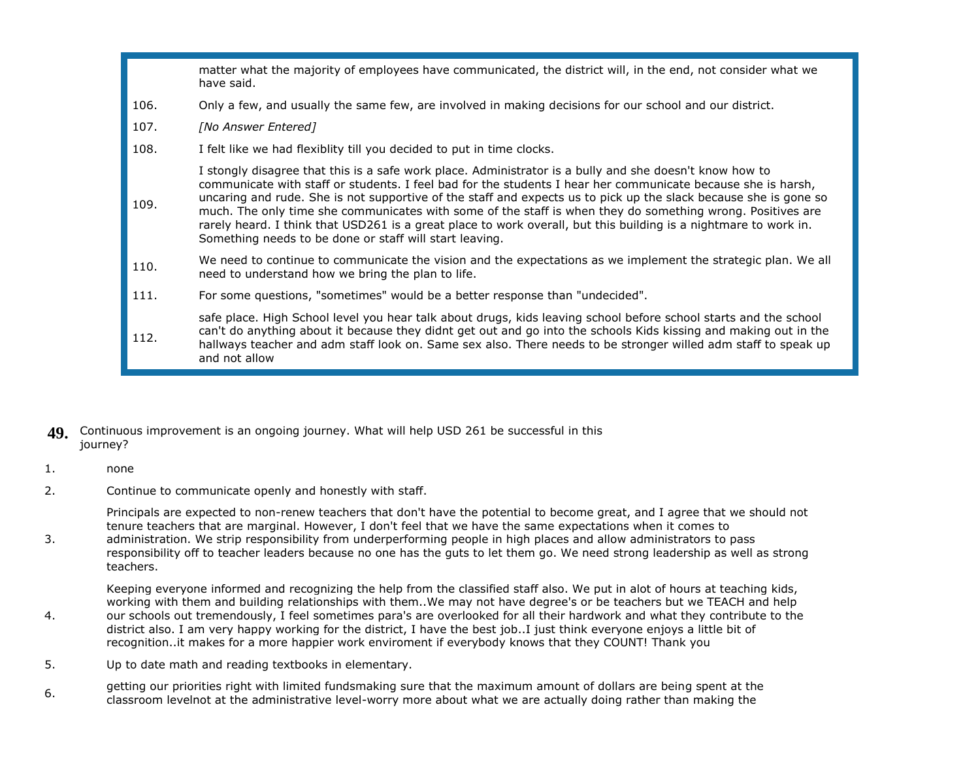|      | matter what the majority of employees have communicated, the district will, in the end, not consider what we<br>have said.                                                                                                                                                                                                                                                                                                                                                                                                                                                                                                               |
|------|------------------------------------------------------------------------------------------------------------------------------------------------------------------------------------------------------------------------------------------------------------------------------------------------------------------------------------------------------------------------------------------------------------------------------------------------------------------------------------------------------------------------------------------------------------------------------------------------------------------------------------------|
| 106. | Only a few, and usually the same few, are involved in making decisions for our school and our district.                                                                                                                                                                                                                                                                                                                                                                                                                                                                                                                                  |
| 107. | [No Answer Entered]                                                                                                                                                                                                                                                                                                                                                                                                                                                                                                                                                                                                                      |
| 108. | I felt like we had flexiblity till you decided to put in time clocks.                                                                                                                                                                                                                                                                                                                                                                                                                                                                                                                                                                    |
| 109. | I stongly disagree that this is a safe work place. Administrator is a bully and she doesn't know how to<br>communicate with staff or students. I feel bad for the students I hear her communicate because she is harsh,<br>uncaring and rude. She is not supportive of the staff and expects us to pick up the slack because she is gone so<br>much. The only time she communicates with some of the staff is when they do something wrong. Positives are<br>rarely heard. I think that USD261 is a great place to work overall, but this building is a nightmare to work in.<br>Something needs to be done or staff will start leaving. |
| 110. | We need to continue to communicate the vision and the expectations as we implement the strategic plan. We all<br>need to understand how we bring the plan to life.                                                                                                                                                                                                                                                                                                                                                                                                                                                                       |
| 111. | For some questions, "sometimes" would be a better response than "undecided".                                                                                                                                                                                                                                                                                                                                                                                                                                                                                                                                                             |
| 112. | safe place. High School level you hear talk about drugs, kids leaving school before school starts and the school<br>can't do anything about it because they didnt get out and go into the schools Kids kissing and making out in the<br>hallways teacher and adm staff look on. Same sex also. There needs to be stronger willed adm staff to speak up<br>and not allow                                                                                                                                                                                                                                                                  |

### **49.** Continuous improvement is an ongoing journey. What will help USD 261 be successful in this journey?

### 1. none

2. Continue to communicate openly and honestly with staff.

Principals are expected to non-renew teachers that don't have the potential to become great, and I agree that we should not tenure teachers that are marginal. However, I don't feel that we have the same expectations when it comes to

3. administration. We strip responsibility from underperforming people in high places and allow administrators to pass responsibility off to teacher leaders because no one has the guts to let them go. We need strong leadership as well as strong teachers.

Keeping everyone informed and recognizing the help from the classified staff also. We put in alot of hours at teaching kids, working with them and building relationships with them..We may not have degree's or be teachers but we TEACH and help

- 4. our schools out tremendously, I feel sometimes para's are overlooked for all their hardwork and what they contribute to the district also. I am very happy working for the district, I have the best job..I just think everyone enjoys a little bit of recognition..it makes for a more happier work enviroment if everybody knows that they COUNT! Thank you
- 5. Up to date math and reading textbooks in elementary.
- 6. getting our priorities right with limited fundsmaking sure that the maximum amount of dollars are being spent at the classroom levelnot at the administrative level-worry more about what we are actually doing rather than making the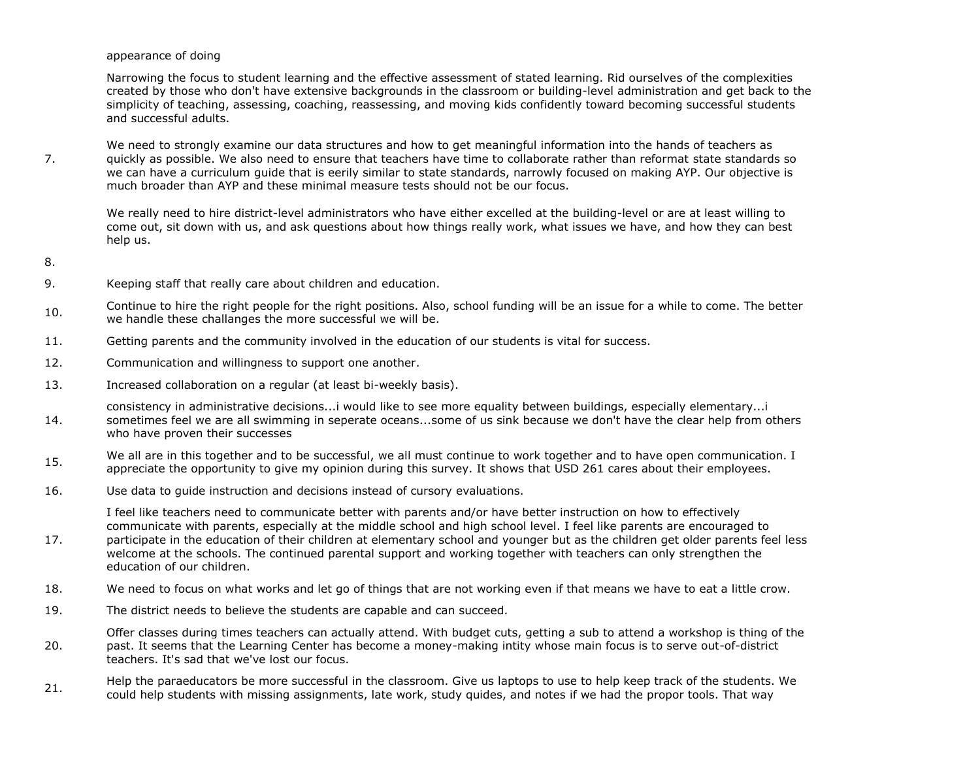appearance of doing

Narrowing the focus to student learning and the effective assessment of stated learning. Rid ourselves of the complexities created by those who don't have extensive backgrounds in the classroom or building-level administration and get back to the simplicity of teaching, assessing, coaching, reassessing, and moving kids confidently toward becoming successful students and successful adults.

7. We need to strongly examine our data structures and how to get meaningful information into the hands of teachers as quickly as possible. We also need to ensure that teachers have time to collaborate rather than reformat state standards so we can have a curriculum guide that is eerily similar to state standards, narrowly focused on making AYP. Our objective is much broader than AYP and these minimal measure tests should not be our focus.

We really need to hire district-level administrators who have either excelled at the building-level or are at least willing to come out, sit down with us, and ask questions about how things really work, what issues we have, and how they can best help us.

- 8.
- 9. Keeping staff that really care about children and education.
- 10. Continue to hire the right people for the right positions. Also, school funding will be an issue for a while to come. The better we handle these challanges the more successful we will be.
- 11. Getting parents and the community involved in the education of our students is vital for success.
- 12. Communication and willingness to support one another.
- 13. Increased collaboration on a regular (at least bi-weekly basis).
- 14. consistency in administrative decisions...i would like to see more equality between buildings, especially elementary...i sometimes feel we are all swimming in seperate oceans...some of us sink because we don't have the clear help from others who have proven their successes
- 15. We all are in this together and to be successful, we all must continue to work together and to have open communication. I appreciate the opportunity to give my opinion during this survey. It shows that USD 261 cares about their employees.
- 16. Use data to guide instruction and decisions instead of cursory evaluations.

I feel like teachers need to communicate better with parents and/or have better instruction on how to effectively communicate with parents, especially at the middle school and high school level. I feel like parents are encouraged to participate in the education of their children at elementary school and younger but as the children get older parents feel less

- 17. welcome at the schools. The continued parental support and working together with teachers can only strengthen the education of our children.
- 18. We need to focus on what works and let go of things that are not working even if that means we have to eat a little crow.
- 19. The district needs to believe the students are capable and can succeed.
- 20. Offer classes during times teachers can actually attend. With budget cuts, getting a sub to attend a workshop is thing of the past. It seems that the Learning Center has become a money-making intity whose main focus is to serve out-of-district teachers. It's sad that we've lost our focus.
- 21. Help the paraeducators be more successful in the classroom. Give us laptops to use to help keep track of the students. We could help students with missing assignments, late work, study quides, and notes if we had the propor tools. That way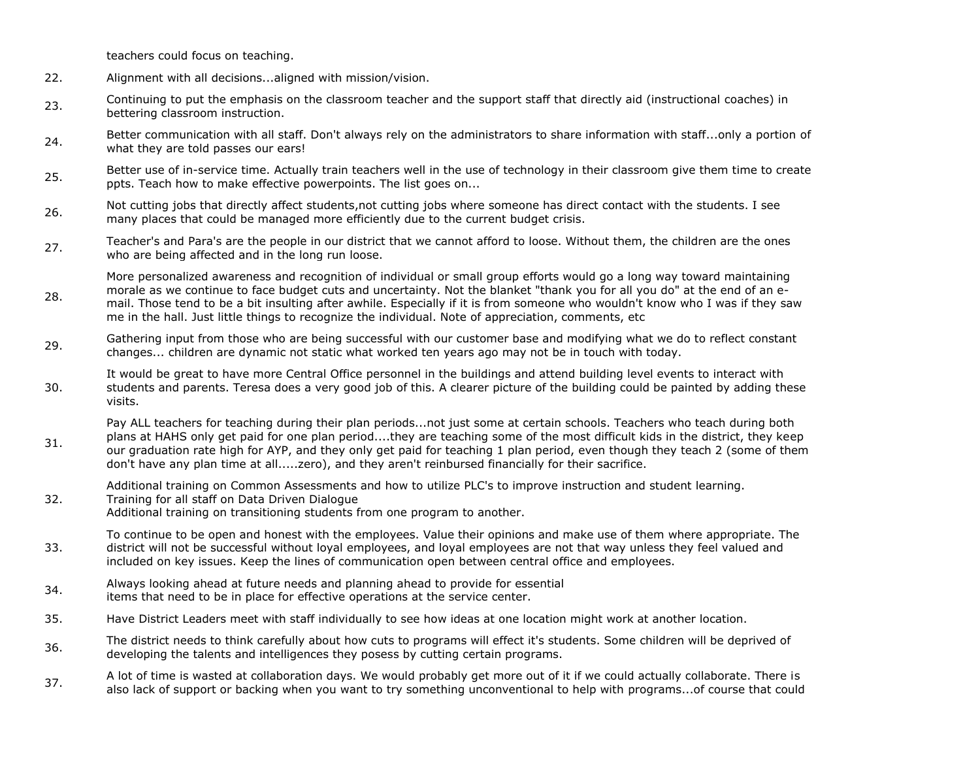teachers could focus on teaching.

31.

- 22. Alignment with all decisions...aligned with mission/vision.
- 23. Continuing to put the emphasis on the classroom teacher and the support staff that directly aid (instructional coaches) in bettering classroom instruction.
- 24. Better communication with all staff. Don't always rely on the administrators to share information with staff...only a portion of what they are told passes our ears!
- 25. Better use of in-service time. Actually train teachers well in the use of technology in their classroom give them time to create ppts. Teach how to make effective powerpoints. The list goes on...
- 26. Not cutting jobs that directly affect students,not cutting jobs where someone has direct contact with the students. I see many places that could be managed more efficiently due to the current budget crisis.
- 27. Teacher's and Para's are the people in our district that we cannot afford to loose. Without them, the children are the ones who are being affected and in the long run loose.

28. More personalized awareness and recognition of individual or small group efforts would go a long way toward maintaining morale as we continue to face budget cuts and uncertainty. Not the blanket "thank you for all you do" at the end of an email. Those tend to be a bit insulting after awhile. Especially if it is from someone who wouldn't know who I was if they saw me in the hall. Just little things to recognize the individual. Note of appreciation, comments, etc

- 29. Gathering input from those who are being successful with our customer base and modifying what we do to reflect constant changes... children are dynamic not static what worked ten years ago may not be in touch with today.
- 30. It would be great to have more Central Office personnel in the buildings and attend building level events to interact with students and parents. Teresa does a very good job of this. A clearer picture of the building could be painted by adding these visits.

Pay ALL teachers for teaching during their plan periods...not just some at certain schools. Teachers who teach during both plans at HAHS only get paid for one plan period....they are teaching some of the most difficult kids in the district, they keep our graduation rate high for AYP, and they only get paid for teaching 1 plan period, even though they teach 2 (some of them don't have any plan time at all.....zero), and they aren't reinbursed financially for their sacrifice.

Additional training on Common Assessments and how to utilize PLC's to improve instruction and student learning.

32. Training for all staff on Data Driven Dialogue Additional training on transitioning students from one program to another.

33. To continue to be open and honest with the employees. Value their opinions and make use of them where appropriate. The district will not be successful without loyal employees, and loyal employees are not that way unless they feel valued and included on key issues. Keep the lines of communication open between central office and employees.

- 34. Always looking ahead at future needs and planning ahead to provide for essential items that need to be in place for effective operations at the service center.
- 35. Have District Leaders meet with staff individually to see how ideas at one location might work at another location.
- 36. The district needs to think carefully about how cuts to programs will effect it's students. Some children will be deprived of developing the talents and intelligences they posess by cutting certain programs.
- 37. A lot of time is wasted at collaboration days. We would probably get more out of it if we could actually collaborate. There is also lack of support or backing when you want to try something unconventional to help with programs...of course that could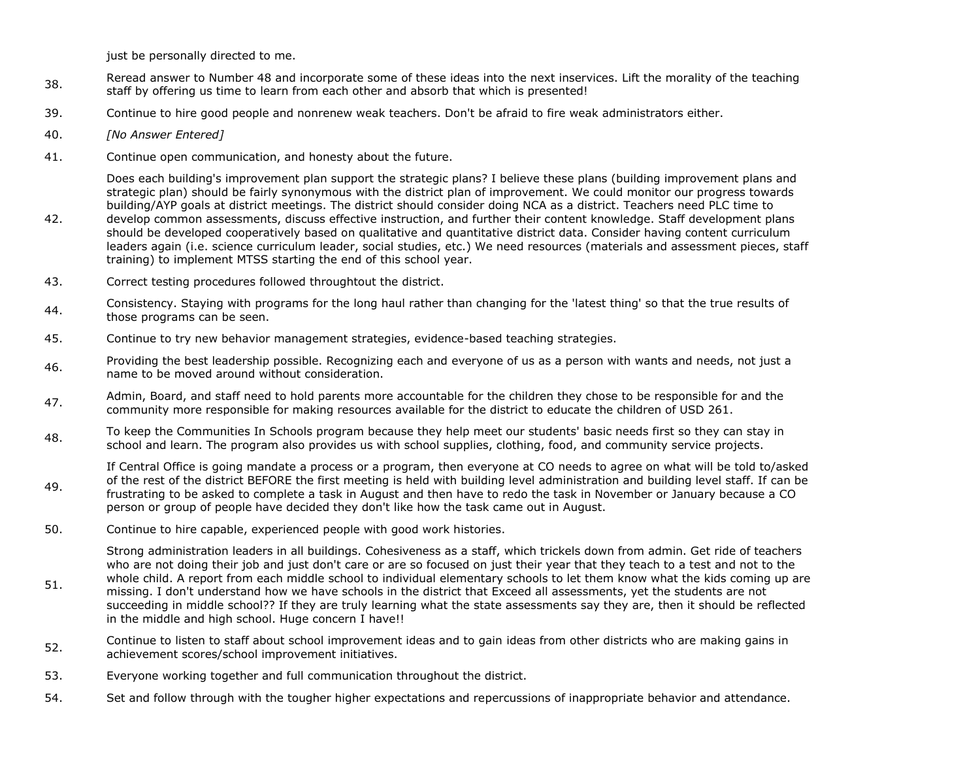just be personally directed to me.

- 38. Reread answer to Number 48 and incorporate some of these ideas into the next inservices. Lift the morality of the teaching staff by offering us time to learn from each other and absorb that which is presented!
- 39. Continue to hire good people and nonrenew weak teachers. Don't be afraid to fire weak administrators either.
- 40. *[No Answer Entered]*
- 41. Continue open communication, and honesty about the future.

Does each building's improvement plan support the strategic plans? I believe these plans (building improvement plans and strategic plan) should be fairly synonymous with the district plan of improvement. We could monitor our progress towards building/AYP goals at district meetings. The district should consider doing NCA as a district. Teachers need PLC time to

- 42. develop common assessments, discuss effective instruction, and further their content knowledge. Staff development plans should be developed cooperatively based on qualitative and quantitative district data. Consider having content curriculum leaders again (i.e. science curriculum leader, social studies, etc.) We need resources (materials and assessment pieces, staff training) to implement MTSS starting the end of this school year.
- 43. Correct testing procedures followed throughtout the district.
- 44. Consistency. Staying with programs for the long haul rather than changing for the 'latest thing' so that the true results of those programs can be seen.
- 45. Continue to try new behavior management strategies, evidence-based teaching strategies.
- Affect Providing the best leadership possible. Recognizing each and everyone of us as a person with wants and needs, not just a series of the manual structure consideration is a series of the manual structure consideration name to be moved around without consideration.
- 47. Admin, Board, and staff need to hold parents more accountable for the children they chose to be responsible for and the community more responsible for making resources available for the district to educate the children of USD 261.
- 48. To keep the Communities In Schools program because they help meet our students' basic needs first so they can stay in<br>expected and large The angular stay in any idea is which so bed sumplies alathing feed, and communit school and learn. The program also provides us with school supplies, clothing, food, and community service projects.

49. If Central Office is going mandate a process or a program, then everyone at CO needs to agree on what will be told to/asked of the rest of the district BEFORE the first meeting is held with building level administration and building level staff. If can be frustrating to be asked to complete a task in August and then have to redo the task in November or January because a CO person or group of people have decided they don't like how the task came out in August.

50. Continue to hire capable, experienced people with good work histories.

51. Strong administration leaders in all buildings. Cohesiveness as a staff, which trickels down from admin. Get ride of teachers who are not doing their job and just don't care or are so focused on just their year that they teach to a test and not to the whole child. A report from each middle school to individual elementary schools to let them know what the kids coming up are missing. I don't understand how we have schools in the district that Exceed all assessments, yet the students are not succeeding in middle school?? If they are truly learning what the state assessments say they are, then it should be reflected in the middle and high school. Huge concern I have!!

- 52. Continue to listen to staff about school improvement ideas and to gain ideas from other districts who are making gains in<br>cabineral control improvement initiatives achievement scores/school improvement initiatives.
- 53. Everyone working together and full communication throughout the district.
- 54. Set and follow through with the tougher higher expectations and repercussions of inappropriate behavior and attendance.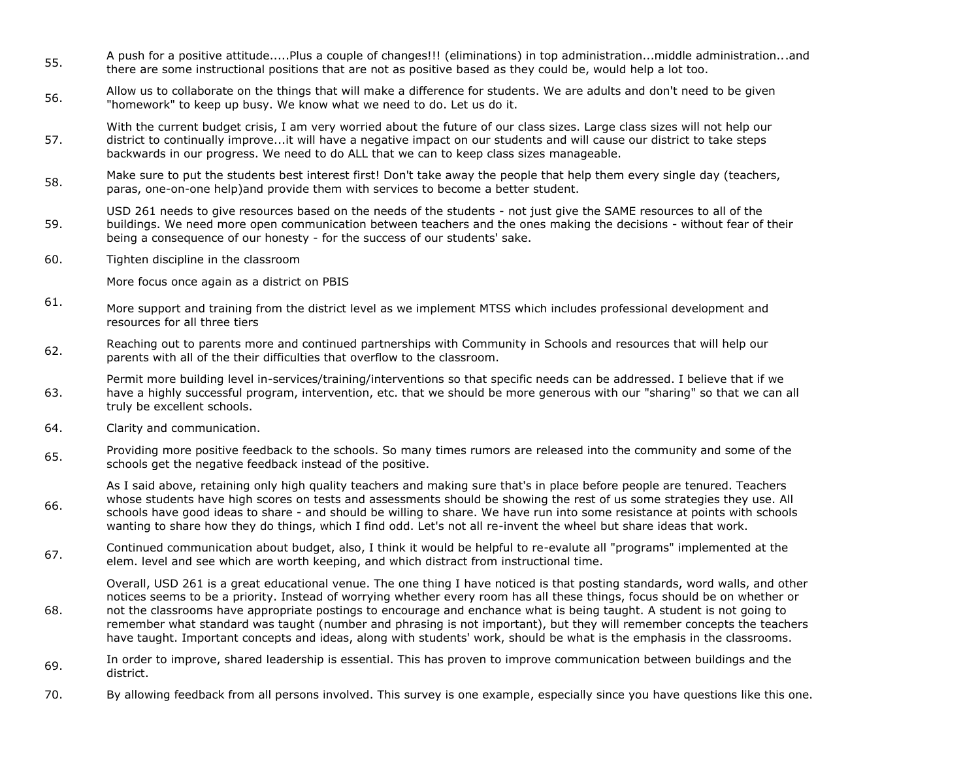- 55. A push for a positive attitude.....Plus a couple of changes!!! (eliminations) in top administration...middle administration...and there are some instructional positions that are not as positive based as they could be, would help a lot too.
- 56. Allow us to collaborate on the things that will make a difference for students. We are adults and don't need to be given "homework" to keep up busy. We know what we need to do. Let us do it.
- 57. With the current budget crisis, I am very worried about the future of our class sizes. Large class sizes will not help our district to continually improve...it will have a negative impact on our students and will cause our district to take steps backwards in our progress. We need to do ALL that we can to keep class sizes manageable.
- 58. Make sure to put the students best interest first! Don't take away the people that help them every single day (teachers, paras, one-on-one help)and provide them with services to become a better student.
- 59. USD 261 needs to give resources based on the needs of the students - not just give the SAME resources to all of the buildings. We need more open communication between teachers and the ones making the decisions - without fear of their being a consequence of our honesty - for the success of our students' sake.
- 60. Tighten discipline in the classroom

More focus once again as a district on PBIS

- 61. More support and training from the district level as we implement MTSS which includes professional development and resources for all three tiers
- 62. Reaching out to parents more and continued partnerships with Community in Schools and resources that will help our parents with all of the their difficulties that overflow to the classroom.
- 63. Permit more building level in-services/training/interventions so that specific needs can be addressed. I believe that if we have a highly successful program, intervention, etc. that we should be more generous with our "sharing" so that we can all truly be excellent schools.
- 64. Clarity and communication.

68.

- 65. Providing more positive feedback to the schools. So many times rumors are released into the community and some of the schools get the negative feedback instead of the positive.
- 66. As I said above, retaining only high quality teachers and making sure that's in place before people are tenured. Teachers whose students have high scores on tests and assessments should be showing the rest of us some strategies they use. All schools have good ideas to share - and should be willing to share. We have run into some resistance at points with schools wanting to share how they do things, which I find odd. Let's not all re-invent the wheel but share ideas that work.
- 67. Continued communication about budget, also, I think it would be helpful to re-evalute all "programs" implemented at the elem. level and see which are worth keeping, and which distract from instructional time.

Overall, USD 261 is a great educational venue. The one thing I have noticed is that posting standards, word walls, and other notices seems to be a priority. Instead of worrying whether every room has all these things, focus should be on whether or not the classrooms have appropriate postings to encourage and enchance what is being taught. A student is not going to remember what standard was taught (number and phrasing is not important), but they will remember concepts the teachers have taught. Important concepts and ideas, along with students' work, should be what is the emphasis in the classrooms.

- 69. In order to improve, shared leadership is essential. This has proven to improve communication between buildings and the district.
- 70. By allowing feedback from all persons involved. This survey is one example, especially since you have questions like this one.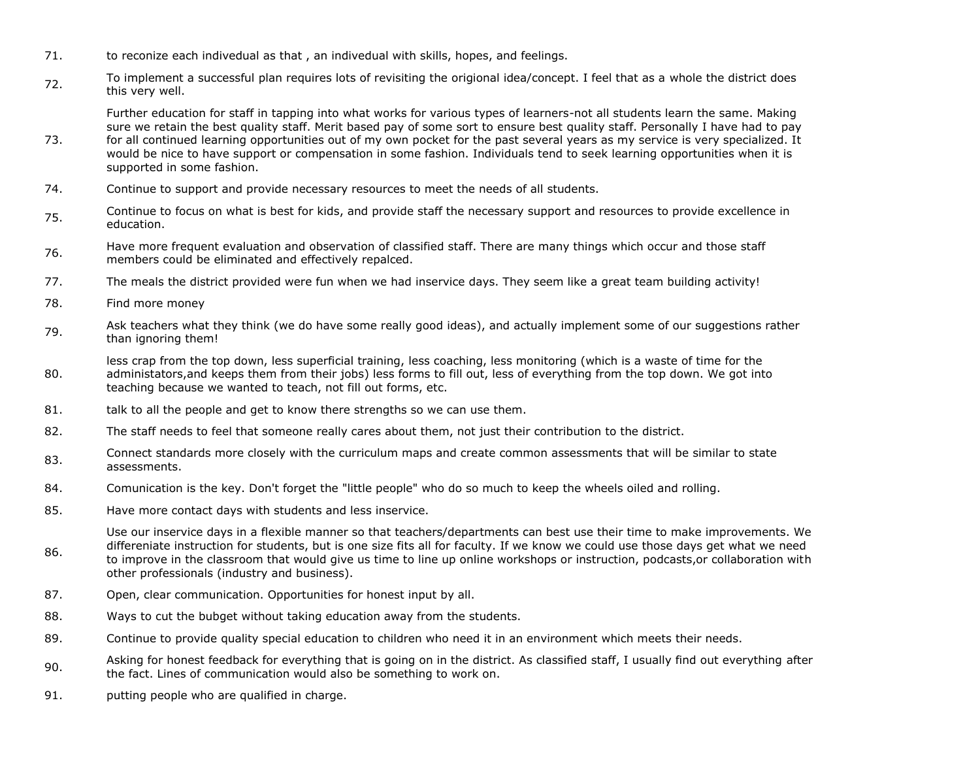- 71. to reconize each indivedual as that, an indivedual with skills, hopes, and feelings.
- 72. To implement a successful plan requires lots of revisiting the origional idea/concept. I feel that as a whole the district does this very well.

Further education for staff in tapping into what works for various types of learners-not all students learn the same. Making sure we retain the best quality staff. Merit based pay of some sort to ensure best quality staff. Personally I have had to pay

- 73. for all continued learning opportunities out of my own pocket for the past several years as my service is very specialized. It would be nice to have support or compensation in some fashion. Individuals tend to seek learning opportunities when it is supported in some fashion.
- 74. Continue to support and provide necessary resources to meet the needs of all students.
- 75. Continue to focus on what is best for kids, and provide staff the necessary support and resources to provide excellence in education.
- 76. Have more frequent evaluation and observation of classified staff. There are many things which occur and those staff members could be eliminated and effectively repalced.
- 77. The meals the district provided were fun when we had inservice days. They seem like a great team building activity!
- 78. Find more money
- 79. Ask teachers what they think (we do have some really good ideas), and actually implement some of our suggestions rather than ignoring them!

80. less crap from the top down, less superficial training, less coaching, less monitoring (which is a waste of time for the administators,and keeps them from their jobs) less forms to fill out, less of everything from the top down. We got into teaching because we wanted to teach, not fill out forms, etc.

- 81. talk to all the people and get to know there strengths so we can use them.
- 82. The staff needs to feel that someone really cares about them, not just their contribution to the district.
- 83. Connect standards more closely with the curriculum maps and create common assessments that will be similar to state assessments.
- 84. Comunication is the key. Don't forget the "little people" who do so much to keep the wheels oiled and rolling.
- 85. Have more contact days with students and less inservice.

86. Use our inservice days in a flexible manner so that teachers/departments can best use their time to make improvements. We differeniate instruction for students, but is one size fits all for faculty. If we know we could use those days get what we need to improve in the classroom that would give us time to line up online workshops or instruction, podcasts,or collaboration with other professionals (industry and business).

- 87. Open, clear communication. Opportunities for honest input by all.
- 88. Ways to cut the bubget without taking education away from the students.
- 89. Continue to provide quality special education to children who need it in an environment which meets their needs.
- 90. Asking for honest feedback for everything that is going on in the district. As classified staff, I usually find out everything after the fact. Lines of communication would also be something to work on.
- 91. putting people who are qualified in charge.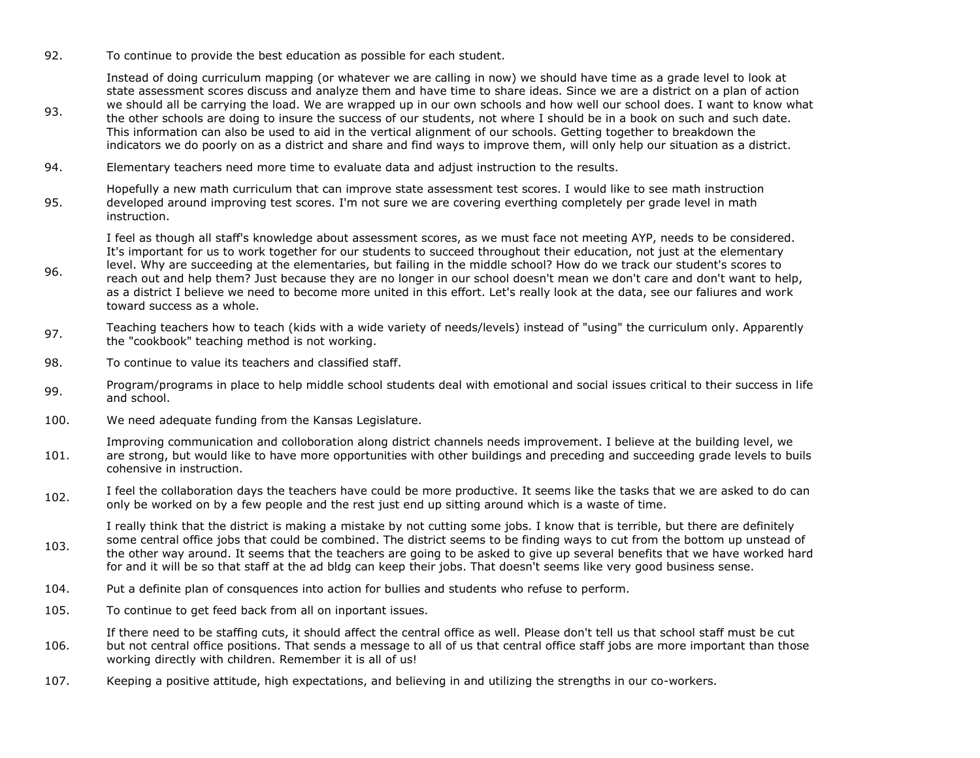92. To continue to provide the best education as possible for each student.

Instead of doing curriculum mapping (or whatever we are calling in now) we should have time as a grade level to look at state assessment scores discuss and analyze them and have time to share ideas. Since we are a district on a plan of action we should all be carrying the load. We are wrapped up in our own schools and how well our school does. I want to know what the other schools are doing to insure the success of our students, not where I should be in a book on such and such date. This information can also be used to aid in the vertical alignment of our schools. Getting together to breakdown the indicators we do poorly on as a district and share and find ways to improve them, will only help our situation as a district.

94. Elementary teachers need more time to evaluate data and adjust instruction to the results.

95. Hopefully a new math curriculum that can improve state assessment test scores. I would like to see math instruction developed around improving test scores. I'm not sure we are covering everthing completely per grade level in math instruction.

I feel as though all staff's knowledge about assessment scores, as we must face not meeting AYP, needs to be considered. It's important for us to work together for our students to succeed throughout their education, not just at the elementary level. Why are succeeding at the elementaries, but failing in the middle school? How do we track our student's scores to

- 96. reach out and help them? Just because they are no longer in our school doesn't mean we don't care and don't want to help, as a district I believe we need to become more united in this effort. Let's really look at the data, see our faliures and work toward success as a whole.
- 97. Teaching teachers how to teach (kids with a wide variety of needs/levels) instead of "using" the curriculum only. Apparently the "cookbook" teaching method is not working.
- 98. To continue to value its teachers and classified staff.

93.

- 99. Program/programs in place to help middle school students deal with emotional and social issues critical to their success in life and school.
- 100. We need adequate funding from the Kansas Legislature.

101. Improving communication and colloboration along district channels needs improvement. I believe at the building level, we are strong, but would like to have more opportunities with other buildings and preceding and succeeding grade levels to buils cohensive in instruction.

102. I feel the collaboration days the teachers have could be more productive. It seems like the tasks that we are asked to do can<br>102. I salve be useded as by a fause seal and the seat just and us sitting assumed which is only be worked on by a few people and the rest just end up sitting around which is a waste of time.

103. I really think that the district is making a mistake by not cutting some jobs. I know that is terrible, but there are definitely some central office jobs that could be combined. The district seems to be finding ways to cut from the bottom up unstead of the other way around. It seems that the teachers are going to be asked to give up several benefits that we have worked hard for and it will be so that staff at the ad bldg can keep their jobs. That doesn't seems like very good business sense.

- 104. Put a definite plan of consquences into action for bullies and students who refuse to perform.
- 105. To continue to get feed back from all on inportant issues.
- 106. If there need to be staffing cuts, it should affect the central office as well. Please don't tell us that school staff must be cut but not central office positions. That sends a message to all of us that central office staff jobs are more important than those working directly with children. Remember it is all of us!
- 107. Keeping a positive attitude, high expectations, and believing in and utilizing the strengths in our co-workers.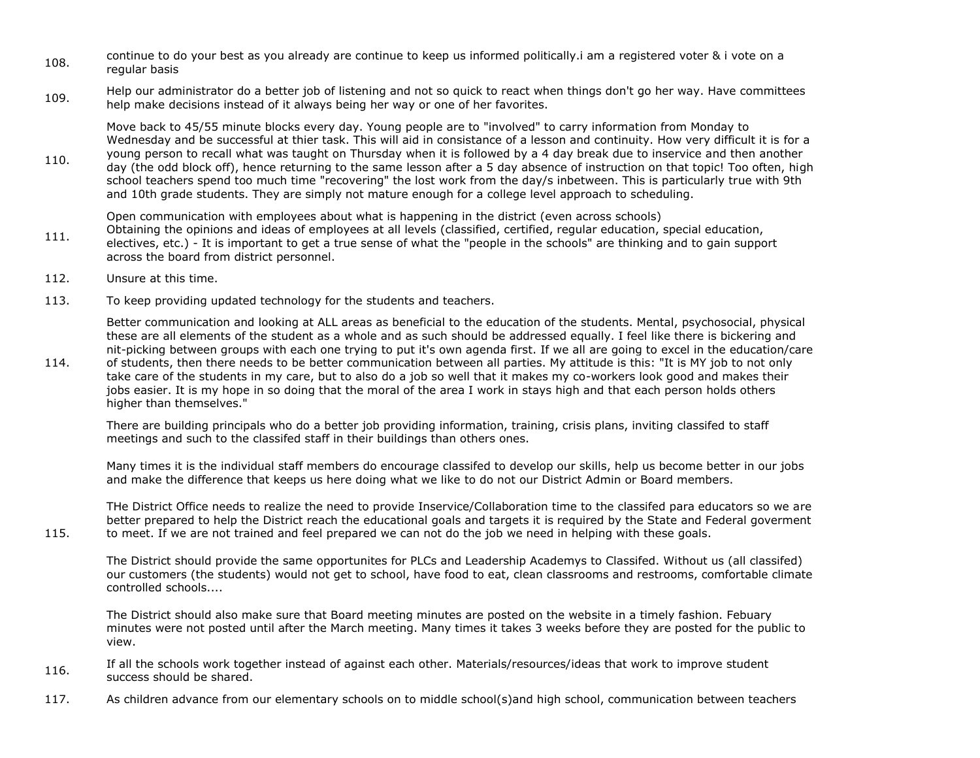- 108. continue to do your best as you already are continue to keep us informed politically.i am a registered voter & i vote on a regular basis
- 109. Help our administrator do a better job of listening and not so quick to react when things don't go her way. Have committees help make decisions instead of it always being her way or one of her favorites.

Move back to 45/55 minute blocks every day. Young people are to "involved" to carry information from Monday to Wednesday and be successful at thier task. This will aid in consistance of a lesson and continuity. How very difficult it is for a young person to recall what was taught on Thursday when it is followed by a 4 day break due to inservice and then another

110. day (the odd block off), hence returning to the same lesson after a 5 day absence of instruction on that topic! Too often, high school teachers spend too much time "recovering" the lost work from the day/s inbetween. This is particularly true with 9th and 10th grade students. They are simply not mature enough for a college level approach to scheduling.

111. Open communication with employees about what is happening in the district (even across schools) Obtaining the opinions and ideas of employees at all levels (classified, certified, regular education, special education, electives, etc.) - It is important to get a true sense of what the "people in the schools" are thinking and to gain support across the board from district personnel.

112. Unsure at this time.

115.

113. To keep providing updated technology for the students and teachers.

Better communication and looking at ALL areas as beneficial to the education of the students. Mental, psychosocial, physical these are all elements of the student as a whole and as such should be addressed equally. I feel like there is bickering and nit-picking between groups with each one trying to put it's own agenda first. If we all are going to excel in the education/care

114. of students, then there needs to be better communication between all parties. My attitude is this: "It is MY job to not only take care of the students in my care, but to also do a job so well that it makes my co-workers look good and makes their jobs easier. It is my hope in so doing that the moral of the area I work in stays high and that each person holds others higher than themselves."

There are building principals who do a better job providing information, training, crisis plans, inviting classifed to staff meetings and such to the classifed staff in their buildings than others ones.

Many times it is the individual staff members do encourage classifed to develop our skills, help us become better in our jobs and make the difference that keeps us here doing what we like to do not our District Admin or Board members.

THe District Office needs to realize the need to provide Inservice/Collaboration time to the classifed para educators so we are better prepared to help the District reach the educational goals and targets it is required by the State and Federal goverment to meet. If we are not trained and feel prepared we can not do the job we need in helping with these goals.

The District should provide the same opportunites for PLCs and Leadership Academys to Classifed. Without us (all classifed) our customers (the students) would not get to school, have food to eat, clean classrooms and restrooms, comfortable climate controlled schools....

The District should also make sure that Board meeting minutes are posted on the website in a timely fashion. Febuary minutes were not posted until after the March meeting. Many times it takes 3 weeks before they are posted for the public to view.

- 116. If all the schools work together instead of against each other. Materials/resources/ideas that work to improve student success should be shared.
- 117. As children advance from our elementary schools on to middle school(s)and high school, communication between teachers